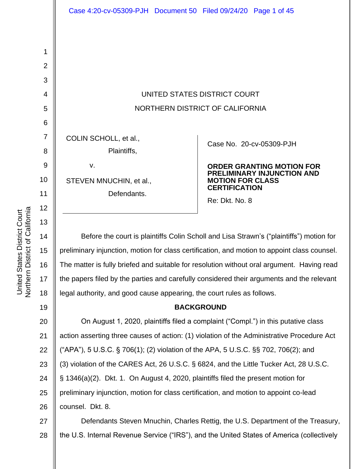UNITED STATES DISTRICT COURT NORTHERN DISTRICT OF CALIFORNIA

cv-05309-PJH

#### **NTING MOTION FOR Y INJUNCTION AND CLASS DN**

wn's ("plaintiffs") motion for on to appoint class counsel. oral argument. Having read arguments and the relevant legal authority, and good cause appearing, the court rules as follows.

21 22 23 24 25 26 (butative class in this putative class action asserting three causes of action: (1) violation of the Administrative Procedure Act ("APA"), 5 U.S.C. § 706(1); (2) violation of the APA, 5 U.S.C. §§ 702, 706(2); and (3) violation of the CARES Act, 26 U.S.C. § 6824, and the Little Tucker Act, 28 U.S.C. § 1346(a)(2). Dkt. 1. On August 4, 2020, plaintiffs filed the present motion for preliminary injunction, motion for class certification, and motion to appoint co-lead counsel. Dkt. 8.

27 28 Defendants Steven Mnuchin, Charles Rettig, the U.S. Department of the Treasury, the U.S. Internal Revenue Service ("IRS"), and the United States of America (collectively

1

2

3

4

 $\overline{a}$ 

| ັ                | יוט וואיש וט ושוועטוש ווער                                         |                                                               |
|------------------|--------------------------------------------------------------------|---------------------------------------------------------------|
| 6                |                                                                    |                                                               |
| $\overline{7}$   | COLIN SCHOLL, et al.,                                              | Case No. 20-0                                                 |
| 8                | Plaintiffs,                                                        |                                                               |
| $\boldsymbol{9}$ | ν.                                                                 | <b>ORDER GRAI</b>                                             |
| 10               | STEVEN MNUCHIN, et al.,                                            | <b>PRELIMINARY</b><br><b>MOTION FOR</b><br><b>CERTIFICATI</b> |
| 11               | Defendants.                                                        | Re: Dkt. No. 8                                                |
| 12               |                                                                    |                                                               |
| 13               |                                                                    |                                                               |
| 14               | Before the court is plaintiffs Colin Scholl and Lisa Strav         |                                                               |
| 15               | preliminary injunction, motion for class certification, and motion |                                                               |
| 16               | The matter is fully briefed and suitable for resolution without o  |                                                               |
| 17               | the papers filed by the parties and carefully considered their a   |                                                               |
| 18               | legal authority, and good cause appearing, the court rules as      |                                                               |
| 19               | <b>BACKGROUND</b>                                                  |                                                               |
| 20               | On August 1, 2020, plaintiffs filed a complaint ("Compl.           |                                                               |
|                  |                                                                    |                                                               |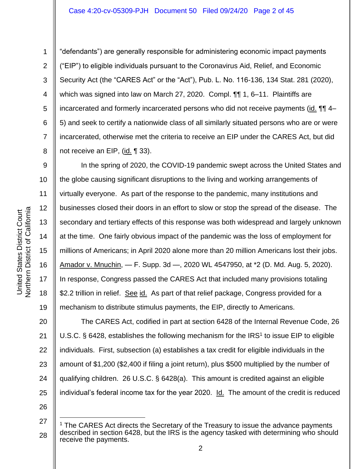6

7

8

1

"defendants") are generally responsible for administering economic impact payments ("EIP") to eligible individuals pursuant to the Coronavirus Aid, Relief, and Economic Security Act (the "CARES Act" or the "Act"), Pub. L. No. 116-136, 134 Stat. 281 (2020), which was signed into law on March 27, 2020. Compl. **[1]** 1, 6–11. Plaintiffs are incarcerated and formerly incarcerated persons who did not receive payments (id. ¶¶ 4– 5) and seek to certify a nationwide class of all similarly situated persons who are or were incarcerated, otherwise met the criteria to receive an EIP under the CARES Act, but did not receive an EIP, (id. ¶ 33).

9 10 11 12 13 14 15 16 18 19 In the spring of 2020, the COVID-19 pandemic swept across the United States and the globe causing significant disruptions to the living and working arrangements of virtually everyone. As part of the response to the pandemic, many institutions and businesses closed their doors in an effort to slow or stop the spread of the disease. The secondary and tertiary effects of this response was both widespread and largely unknown at the time. One fairly obvious impact of the pandemic was the loss of employment for millions of Americans; in April 2020 alone more than 20 million Americans lost their jobs. Amador v. Mnuchin, — F. Supp. 3d —, 2020 WL 4547950, at \*2 (D. Md. Aug. 5, 2020). In response, Congress passed the CARES Act that included many provisions totaling \$2.2 trillion in relief. See id. As part of that relief package, Congress provided for a mechanism to distribute stimulus payments, the EIP, directly to Americans.

20 21 22 23 24 25 The CARES Act, codified in part at section 6428 of the Internal Revenue Code, 26 U.S.C.  $\S$  6428, establishes the following mechanism for the IRS<sup>1</sup> to issue EIP to eligible individuals. First, subsection (a) establishes a tax credit for eligible individuals in the amount of \$1,200 (\$2,400 if filing a joint return), plus \$500 multiplied by the number of qualifying children. 26 U.S.C. § 6428(a). This amount is credited against an eligible individual's federal income tax for the year 2020. Id. The amount of the credit is reduced

26

17

<sup>27</sup> 28 The CARES Act directs the Secretary of the Treasury to issue the advance payments described in section 6428, but the IRS is the agency tasked with determining who should receive the payments.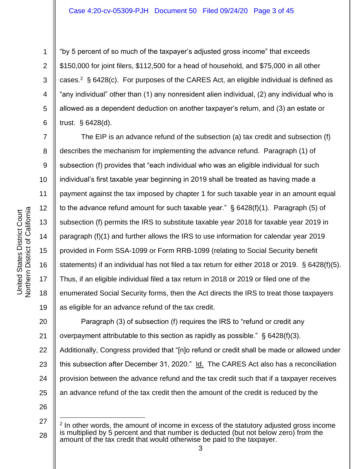2

3

4

5

6

7

8

9

10

11

12

13

14

15

16

17

18

19

"by 5 percent of so much of the taxpayer's adjusted gross income" that exceeds \$150,000 for joint filers, \$112,500 for a head of household, and \$75,000 in all other cases.<sup>2</sup> § 6428(c). For purposes of the CARES Act, an eligible individual is defined as "any individual" other than (1) any nonresident alien individual, (2) any individual who is allowed as a dependent deduction on another taxpayer's return, and (3) an estate or trust. § 6428(d).

The EIP is an advance refund of the subsection (a) tax credit and subsection (f) describes the mechanism for implementing the advance refund. Paragraph (1) of subsection (f) provides that "each individual who was an eligible individual for such individual's first taxable year beginning in 2019 shall be treated as having made a payment against the tax imposed by chapter 1 for such taxable year in an amount equal to the advance refund amount for such taxable year." § 6428(f)(1). Paragraph (5) of subsection (f) permits the IRS to substitute taxable year 2018 for taxable year 2019 in paragraph (f)(1) and further allows the IRS to use information for calendar year 2019 provided in Form SSA-1099 or Form RRB-1099 (relating to Social Security benefit statements) if an individual has not filed a tax return for either 2018 or 2019. § 6428(f)(5). Thus, if an eligible individual filed a tax return in 2018 or 2019 or filed one of the enumerated Social Security forms, then the Act directs the IRS to treat those taxpayers as eligible for an advance refund of the tax credit.

20 21 22 23 24 25 Paragraph (3) of subsection (f) requires the IRS to "refund or credit any overpayment attributable to this section as rapidly as possible." § 6428(f)(3). Additionally, Congress provided that "[n]o refund or credit shall be made or allowed under this subsection after December 31, 2020." Id. The CARES Act also has a reconciliation provision between the advance refund and the tax credit such that if a taxpayer receives an advance refund of the tax credit then the amount of the credit is reduced by the

26

<sup>27</sup> 28 <sup>2</sup> In other words, the amount of income in excess of the statutory adjusted gross income is multiplied by 5 percent and that number is deducted (but not below zero) from the amount of the tax credit that would otherwise be paid to the taxpayer.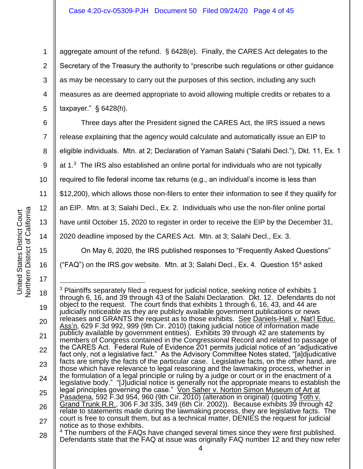aggregate amount of the refund. § 6428(e). Finally, the CARES Act delegates to the Secretary of the Treasury the authority to "prescribe such regulations or other guidance as may be necessary to carry out the purposes of this section, including any such measures as are deemed appropriate to avoid allowing multiple credits or rebates to a taxpayer." § 6428(h).

7 8 9 10 11 12 13 14 Three days after the President signed the CARES Act, the IRS issued a news release explaining that the agency would calculate and automatically issue an EIP to eligible individuals. Mtn. at 2; Declaration of Yaman Salahi ("Salahi Decl."), Dkt. 11, Ex. 1 at 1.<sup>3</sup> The IRS also established an online portal for individuals who are not typically required to file federal income tax returns (e.g., an individual's income is less than \$12,200), which allows those non-filers to enter their information to see if they qualify for an EIP. Mtn. at 3; Salahi Decl., Ex. 2. Individuals who use the non-filer online portal have until October 15, 2020 to register in order to receive the EIP by the December 31,

2020 deadline imposed by the CARES Act. Mtn. at 3; Salahi Decl., Ex. 3.

On May 6, 2020, the IRS published responses to "Frequently Asked Questions"

("FAQ") on the IRS.gov website. Mtn. at 3; Salahi Decl., Ex. 4. Question  $15<sup>4</sup>$  asked

15

16

17

<sup>18</sup> 19 20 21 22 23 24 25 26 27 28 <sup>3</sup> Plaintiffs separately filed a request for judicial notice, seeking notice of exhibits 1 through 6, 16, and 39 through 43 of the Salahi Declaration. Dkt. 12. Defendants do not object to the request. The court finds that exhibits 1 through 6, 16, 43, and 44 are judicially noticeable as they are publicly available government publications or news releases and GRANTS the request as to those exhibits. See Daniels-Hall v. Nat'l Educ. Ass'n, 629 F.3d 992, 999 (9th Cir. 2010) (taking judicial notice of information made publicly available by government entities). Exhibits 39 through 42 are statements by members of Congress contained in the Congressional Record and related to passage of the CARES Act. Federal Rule of Evidence 201 permits judicial notice of an "adjudicative fact only, not a legislative fact." As the Advisory Committee Notes stated, "[a]djudicative facts are simply the facts of the particular case. Legislative facts, on the other hand, are those which have relevance to legal reasoning and the lawmaking process, whether in the formulation of a legal principle or ruling by a judge or court or in the enactment of a legislative body." "[J]udicial notice is generally not the appropriate means to establish the legal principles governing the case." Von Saher v. Norton Simon Museum of Art at Pasadena, 592 F.3d 954, 960 (9th Cir. 2010) (alteration in original) (quoting Toth v. Grand Trunk R.R., 306 F.3d 335, 349 (6th Cir. 2002)). Because exhibits 39 through 42 relate to statements made during the lawmaking process, they are legislative facts. The court is free to consult them, but as a technical matter, DENIES the request for judicial notice as to those exhibits. <sup>4</sup> The numbers of the FAQs have changed several times since they were first published. Defendants state that the FAQ at issue was originally FAQ number 12 and they now refer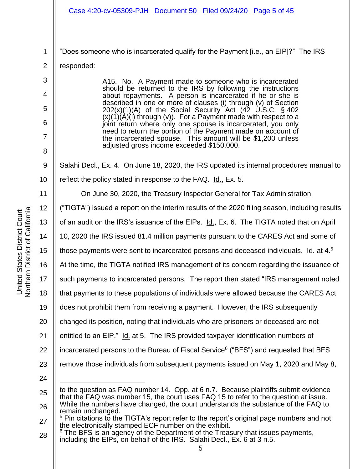|                | Case 4:20-cv-05309-PJH Document 50 Filed 09/24/20 Page 5 of 45                                                                       |  |  |
|----------------|--------------------------------------------------------------------------------------------------------------------------------------|--|--|
|                |                                                                                                                                      |  |  |
| 1              | "Does someone who is incarcerated qualify for the Payment [i.e., an EIP]?" The IRS                                                   |  |  |
| $\overline{2}$ | responded:                                                                                                                           |  |  |
| 3              | A15. No. A Payment made to someone who is incarcerated                                                                               |  |  |
| 4              | should be returned to the IRS by following the instructions<br>about repayments. A person is incarcerated if he or she is            |  |  |
| 5              | described in one or more of clauses (i) through (v) of Section<br>$202(x)(1)(A)$ of the Social Security Act $(42 \tcup S.C. \S 402$  |  |  |
| 6              | $(x)(1)(A)(i)$ through $(v)$ ). For a Payment made with respect to a<br>joint return where only one spouse is incarcerated, you only |  |  |
| 7              | need to return the portion of the Payment made on account of<br>the incarcerated spouse. This amount will be \$1,200 unless          |  |  |
| 8              | adjusted gross income exceeded \$150,000.                                                                                            |  |  |
| $9\,$          | Salahi Decl., Ex. 4. On June 18, 2020, the IRS updated its internal procedures manual to                                             |  |  |
| 10             | reflect the policy stated in response to the FAQ. Id., Ex. 5.                                                                        |  |  |
| 11             | On June 30, 2020, the Treasury Inspector General for Tax Administration                                                              |  |  |
| 12             | ("TIGTA") issued a report on the interim results of the 2020 filing season, including results                                        |  |  |
| 13             | of an audit on the IRS's issuance of the EIPs. Id., Ex. 6. The TIGTA noted that on April                                             |  |  |
| 14             | 10, 2020 the IRS issued 81.4 million payments pursuant to the CARES Act and some of                                                  |  |  |
| 15             | those payments were sent to incarcerated persons and deceased individuals. Id. at 4.5                                                |  |  |
| 16             | At the time, the TIGTA notified IRS management of its concern regarding the issuance of                                              |  |  |
| 17             | such payments to incarcerated persons. The report then stated "IRS management noted                                                  |  |  |
| 18             | that payments to these populations of individuals were allowed because the CARES Act                                                 |  |  |
| 19             | does not prohibit them from receiving a payment. However, the IRS subsequently                                                       |  |  |
| 20             | changed its position, noting that individuals who are prisoners or deceased are not                                                  |  |  |
| 21             | entitled to an EIP." Id. at 5. The IRS provided taxpayer identification numbers of                                                   |  |  |
| 22             | incarcerated persons to the Bureau of Fiscal Service <sup>6</sup> ("BFS") and requested that BFS                                     |  |  |
| 23             | remove those individuals from subsequent payments issued on May 1, 2020 and May 8,                                                   |  |  |

Northern District of California Northern District of California United States District Court United States District Court

24

<sup>25</sup> 26 to the question as FAQ number 14. Opp. at 6 n.7. Because plaintiffs submit evidence that the FAQ was number 15, the court uses FAQ 15 to refer to the question at issue. While the numbers have changed, the court understands the substance of the FAQ to remain unchanged.

<sup>27</sup> <sup>5</sup> Pin citations to the TIGTA's report refer to the report's original page numbers and not the electronically stamped ECF number on the exhibit.

<sup>28</sup> <sup>6</sup> The BFS is an agency of the Department of the Treasury that issues payments, including the EIPs, on behalf of the IRS. Salahi Decl., Ex. 6 at 3 n.5.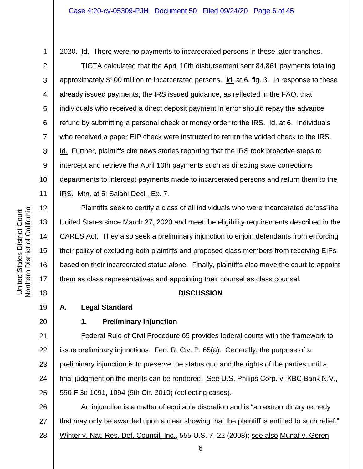2020. Id. There were no payments to incarcerated persons in these later tranches.

TIGTA calculated that the April 10th disbursement sent 84,861 payments totaling approximately \$100 million to incarcerated persons. Id. at 6, fig. 3. In response to these already issued payments, the IRS issued guidance, as reflected in the FAQ, that individuals who received a direct deposit payment in error should repay the advance refund by submitting a personal check or money order to the IRS. Id. at 6. Individuals who received a paper EIP check were instructed to return the voided check to the IRS. Id. Further, plaintiffs cite news stories reporting that the IRS took proactive steps to intercept and retrieve the April 10th payments such as directing state corrections departments to intercept payments made to incarcerated persons and return them to the IRS. Mtn. at 5; Salahi Decl., Ex. 7.

Plaintiffs seek to certify a class of all individuals who were incarcerated across the United States since March 27, 2020 and meet the eligibility requirements described in the CARES Act. They also seek a preliminary injunction to enjoin defendants from enforcing their policy of excluding both plaintiffs and proposed class members from receiving EIPs based on their incarcerated status alone. Finally, plaintiffs also move the court to appoint them as class representatives and appointing their counsel as class counsel.

## **DISCUSSION**

**A. Legal Standard**

## 20

1

2

3

4

5

6

7

8

9

10

11

12

13

14

15

16

17

18

19

## **1. Preliminary Injunction**

21 22 23 24 25 Federal Rule of Civil Procedure 65 provides federal courts with the framework to issue preliminary injunctions. Fed. R. Civ. P. 65(a). Generally, the purpose of a preliminary injunction is to preserve the status quo and the rights of the parties until a final judgment on the merits can be rendered. See U.S. Philips Corp. v. KBC Bank N.V., 590 F.3d 1091, 1094 (9th Cir. 2010) (collecting cases).

26 27 28 An injunction is a matter of equitable discretion and is "an extraordinary remedy that may only be awarded upon a clear showing that the plaintiff is entitled to such relief." Winter v. Nat. Res. Def. Council, Inc., 555 U.S. 7, 22 (2008); see also Munaf v. Geren,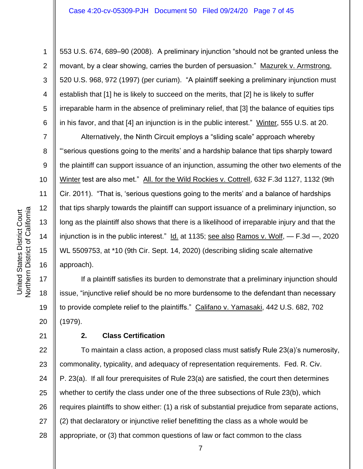553 U.S. 674, 689–90 (2008). A preliminary injunction "should not be granted unless the movant, by a clear showing, carries the burden of persuasion." Mazurek v. Armstrong, 520 U.S. 968, 972 (1997) (per curiam). "A plaintiff seeking a preliminary injunction must establish that [1] he is likely to succeed on the merits, that [2] he is likely to suffer irreparable harm in the absence of preliminary relief, that [3] the balance of equities tips in his favor, and that [4] an injunction is in the public interest." Winter, 555 U.S. at 20.

Alternatively, the Ninth Circuit employs a "sliding scale" approach whereby "'serious questions going to the merits' and a hardship balance that tips sharply toward the plaintiff can support issuance of an injunction, assuming the other two elements of the Winter test are also met." All. for the Wild Rockies v. Cottrell, 632 F.3d 1127, 1132 (9th Cir. 2011). "That is, 'serious questions going to the merits' and a balance of hardships that tips sharply towards the plaintiff can support issuance of a preliminary injunction, so long as the plaintiff also shows that there is a likelihood of irreparable injury and that the injunction is in the public interest." Id. at 1135; see also Ramos v. Wolf, — F.3d —, 2020 WL 5509753, at \*10 (9th Cir. Sept. 14, 2020) (describing sliding scale alternative approach).

If a plaintiff satisfies its burden to demonstrate that a preliminary injunction should issue, "injunctive relief should be no more burdensome to the defendant than necessary to provide complete relief to the plaintiffs." Califano v. Yamasaki, 442 U.S. 682, 702 (1979).

21

1

2

3

4

5

6

7

8

9

10

11

12

13

14

15

16

17

18

19

20

## **2. Class Certification**

22 23 24 25 26 27 28 To maintain a class action, a proposed class must satisfy Rule 23(a)'s numerosity, commonality, typicality, and adequacy of representation requirements. Fed. R. Civ. P. 23(a). If all four prerequisites of Rule 23(a) are satisfied, the court then determines whether to certify the class under one of the three subsections of Rule 23(b), which requires plaintiffs to show either: (1) a risk of substantial prejudice from separate actions, (2) that declaratory or injunctive relief benefitting the class as a whole would be appropriate, or (3) that common questions of law or fact common to the class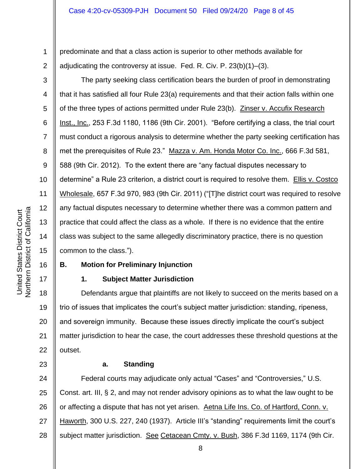predominate and that a class action is superior to other methods available for adjudicating the controversy at issue. Fed. R. Civ. P. 23(b)(1)–(3).

The party seeking class certification bears the burden of proof in demonstrating that it has satisfied all four Rule 23(a) requirements and that their action falls within one of the three types of actions permitted under Rule 23(b). Zinser v. Accufix Research Inst., Inc., 253 F.3d 1180, 1186 (9th Cir. 2001). "Before certifying a class, the trial court must conduct a rigorous analysis to determine whether the party seeking certification has met the prerequisites of Rule 23." Mazza v. Am. Honda Motor Co. Inc., 666 F.3d 581, 588 (9th Cir. 2012). To the extent there are "any factual disputes necessary to determine" a Rule 23 criterion, a district court is required to resolve them. Ellis v. Costco Wholesale, 657 F.3d 970, 983 (9th Cir. 2011) ("[T]he district court was required to resolve any factual disputes necessary to determine whether there was a common pattern and practice that could affect the class as a whole. If there is no evidence that the entire class was subject to the same allegedly discriminatory practice, there is no question common to the class.").

# **B. Motion for Preliminary Injunction**

# **1. Subject Matter Jurisdiction**

18 19 20 21 22 Defendants argue that plaintiffs are not likely to succeed on the merits based on a trio of issues that implicates the court's subject matter jurisdiction: standing, ripeness, and sovereign immunity. Because these issues directly implicate the court's subject matter jurisdiction to hear the case, the court addresses these threshold questions at the outset.

## **a. Standing**

24 25 26 27 28 Federal courts may adjudicate only actual "Cases" and "Controversies," U.S. Const. art. III, § 2, and may not render advisory opinions as to what the law ought to be or affecting a dispute that has not yet arisen. Aetna Life Ins. Co. of Hartford, Conn. v. Haworth, 300 U.S. 227, 240 (1937). Article III's "standing" requirements limit the court's subject matter jurisdiction. See Cetacean Cmty. v. Bush, 386 F.3d 1169, 1174 (9th Cir.

1

2

3

4

5

6

7

8

9

10

11

12

13

14

15

16

17

23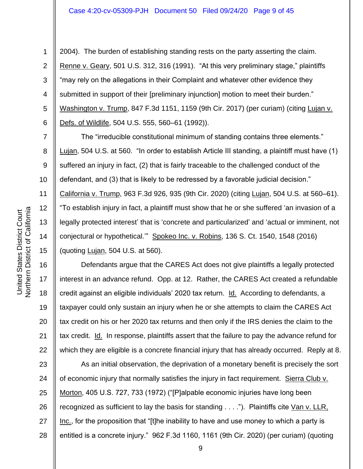2004). The burden of establishing standing rests on the party asserting the claim. Renne v. Geary, 501 U.S. 312, 316 (1991). "At this very preliminary stage," plaintiffs "may rely on the allegations in their Complaint and whatever other evidence they submitted in support of their [preliminary injunction] motion to meet their burden." Washington v. Trump, 847 F.3d 1151, 1159 (9th Cir. 2017) (per curiam) (citing Lujan v. Defs. of Wildlife, 504 U.S. 555, 560–61 (1992)).

The "irreducible constitutional minimum of standing contains three elements." Lujan, 504 U.S. at 560. "In order to establish Article III standing, a plaintiff must have (1) suffered an injury in fact, (2) that is fairly traceable to the challenged conduct of the defendant, and (3) that is likely to be redressed by a favorable judicial decision." California v. Trump, 963 F.3d 926, 935 (9th Cir. 2020) (citing Lujan, 504 U.S. at 560–61). "To establish injury in fact, a plaintiff must show that he or she suffered 'an invasion of a legally protected interest' that is 'concrete and particularized' and 'actual or imminent, not conjectural or hypothetical.'" Spokeo Inc. v. Robins, 136 S. Ct. 1540, 1548 (2016) (quoting Lujan, 504 U.S. at 560).

Defendants argue that the CARES Act does not give plaintiffs a legally protected interest in an advance refund. Opp. at 12. Rather, the CARES Act created a refundable credit against an eligible individuals' 2020 tax return. Id. According to defendants, a taxpayer could only sustain an injury when he or she attempts to claim the CARES Act tax credit on his or her 2020 tax returns and then only if the IRS denies the claim to the tax credit. Id. In response, plaintiffs assert that the failure to pay the advance refund for which they are eligible is a concrete financial injury that has already occurred. Reply at 8.

23 24 25 26 27 28 As an initial observation, the deprivation of a monetary benefit is precisely the sort of economic injury that normally satisfies the injury in fact requirement. Sierra Club v. Morton, 405 U.S. 727, 733 (1972) ("[P]alpable economic injuries have long been recognized as sufficient to lay the basis for standing . . . ."). Plaintiffs cite Van v. LLR, Inc., for the proposition that "[t]he inability to have and use money to which a party is entitled is a concrete injury." 962 F.3d 1160, 1161 (9th Cir. 2020) (per curiam) (quoting

1

2

3

4

5

6

7

8

9

10

11

12

13

14

15

16

17

18

19

20

21

22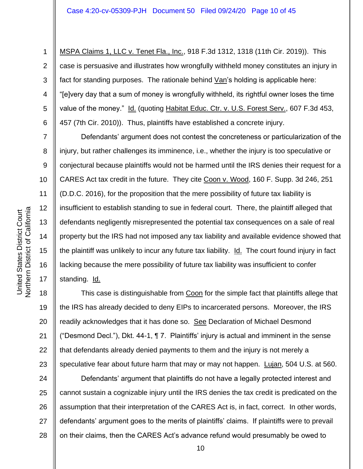MSPA Claims 1, LLC v. Tenet Fla., Inc., 918 F.3d 1312, 1318 (11th Cir. 2019)). This case is persuasive and illustrates how wrongfully withheld money constitutes an injury in fact for standing purposes. The rationale behind  $Van's$  holding is applicable here: "[e]very day that a sum of money is wrongfully withheld, its rightful owner loses the time value of the money." Id. (quoting Habitat Educ. Ctr. v. U.S. Forest Serv., 607 F.3d 453, 457 (7th Cir. 2010)). Thus, plaintiffs have established a concrete injury.

Defendants' argument does not contest the concreteness or particularization of the injury, but rather challenges its imminence, i.e., whether the injury is too speculative or conjectural because plaintiffs would not be harmed until the IRS denies their request for a CARES Act tax credit in the future. They cite Coon v. Wood, 160 F. Supp. 3d 246, 251 (D.D.C. 2016), for the proposition that the mere possibility of future tax liability is insufficient to establish standing to sue in federal court. There, the plaintiff alleged that defendants negligently misrepresented the potential tax consequences on a sale of real property but the IRS had not imposed any tax liability and available evidence showed that the plaintiff was unlikely to incur any future tax liability. Id. The court found injury in fact lacking because the mere possibility of future tax liability was insufficient to confer standing. Id.

20 22 23 This case is distinguishable from Coon for the simple fact that plaintiffs allege that the IRS has already decided to deny EIPs to incarcerated persons. Moreover, the IRS readily acknowledges that it has done so. See Declaration of Michael Desmond ("Desmond Decl."), Dkt. 44-1, ¶ 7. Plaintiffs' injury is actual and imminent in the sense that defendants already denied payments to them and the injury is not merely a speculative fear about future harm that may or may not happen. Lujan, 504 U.S. at 560.

24 25 26 27 28 Defendants' argument that plaintiffs do not have a legally protected interest and cannot sustain a cognizable injury until the IRS denies the tax credit is predicated on the assumption that their interpretation of the CARES Act is, in fact, correct. In other words, defendants' argument goes to the merits of plaintiffs' claims. If plaintiffs were to prevail on their claims, then the CARES Act's advance refund would presumably be owed to

1

2

3

4

5

6

7

8

9

10

11

12

13

14

15

16

17

18

19

21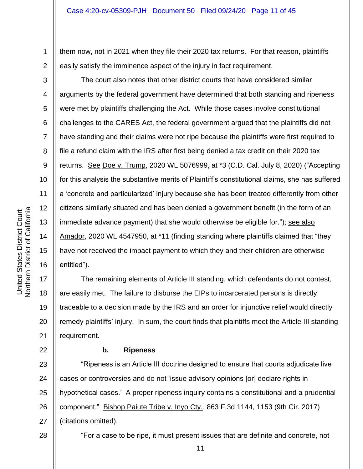them now, not in 2021 when they file their 2020 tax returns. For that reason, plaintiffs easily satisfy the imminence aspect of the injury in fact requirement.

The court also notes that other district courts that have considered similar arguments by the federal government have determined that both standing and ripeness were met by plaintiffs challenging the Act. While those cases involve constitutional challenges to the CARES Act, the federal government argued that the plaintiffs did not have standing and their claims were not ripe because the plaintiffs were first required to file a refund claim with the IRS after first being denied a tax credit on their 2020 tax returns. See Doe v. Trump, 2020 WL 5076999, at \*3 (C.D. Cal. July 8, 2020) ("Accepting for this analysis the substantive merits of Plaintiff's constitutional claims, she has suffered a 'concrete and particularized' injury because she has been treated differently from other citizens similarly situated and has been denied a government benefit (in the form of an immediate advance payment) that she would otherwise be eligible for."); see also Amador, 2020 WL 4547950, at \*11 (finding standing where plaintiffs claimed that "they have not received the impact payment to which they and their children are otherwise entitled").

The remaining elements of Article III standing, which defendants do not contest, are easily met. The failure to disburse the EIPs to incarcerated persons is directly traceable to a decision made by the IRS and an order for injunctive relief would directly remedy plaintiffs' injury. In sum, the court finds that plaintiffs meet the Article III standing requirement.

## **b. Ripeness**

23 24 25 26 27 "Ripeness is an Article III doctrine designed to ensure that courts adjudicate live cases or controversies and do not 'issue advisory opinions [or] declare rights in hypothetical cases.' A proper ripeness inquiry contains a constitutional and a prudential component." Bishop Paiute Tribe v. Inyo Cty., 863 F.3d 1144, 1153 (9th Cir. 2017) (citations omitted).

28

United States District Court<br>Northern District of California Northern District of California United States District Court

1

2

3

4

5

6

7

8

9

10

11

12

13

14

15

16

17

18

19

20

21

22

11

"For a case to be ripe, it must present issues that are definite and concrete, not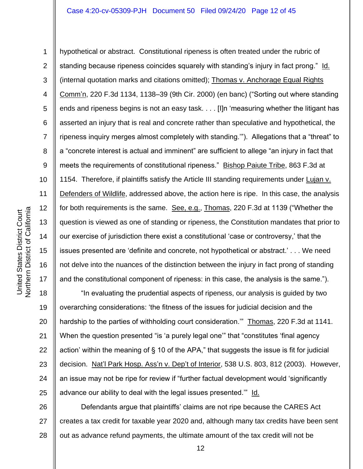2 3 4 5 6 7 8 9 10 11 12 13 14 15 16 17 hypothetical or abstract. Constitutional ripeness is often treated under the rubric of standing because ripeness coincides squarely with standing's injury in fact prong." Id. (internal quotation marks and citations omitted); Thomas v. Anchorage Equal Rights Comm'n, 220 F.3d 1134, 1138–39 (9th Cir. 2000) (en banc) ("Sorting out where standing ends and ripeness begins is not an easy task. . . . [I]n 'measuring whether the litigant has asserted an injury that is real and concrete rather than speculative and hypothetical, the ripeness inquiry merges almost completely with standing.'"). Allegations that a "threat" to a "concrete interest is actual and imminent" are sufficient to allege "an injury in fact that meets the requirements of constitutional ripeness." Bishop Paiute Tribe, 863 F.3d at 1154. Therefore, if plaintiffs satisfy the Article III standing requirements under Lujan v. Defenders of Wildlife, addressed above, the action here is ripe. In this case, the analysis for both requirements is the same. See, e.g., Thomas, 220 F.3d at 1139 ("Whether the question is viewed as one of standing or ripeness, the Constitution mandates that prior to our exercise of jurisdiction there exist a constitutional 'case or controversy,' that the issues presented are 'definite and concrete, not hypothetical or abstract.' . . . We need not delve into the nuances of the distinction between the injury in fact prong of standing and the constitutional component of ripeness: in this case, the analysis is the same.").

18 19 20 21 22 23 24 25 "In evaluating the prudential aspects of ripeness, our analysis is guided by two overarching considerations: 'the fitness of the issues for judicial decision and the hardship to the parties of withholding court consideration." Thomas, 220 F.3d at 1141. When the question presented "is 'a purely legal one'" that "constitutes 'final agency action' within the meaning of § 10 of the APA," that suggests the issue is fit for judicial decision. Nat'l Park Hosp. Ass'n v. Dep't of Interior, 538 U.S. 803, 812 (2003). However, an issue may not be ripe for review if "further factual development would 'significantly advance our ability to deal with the legal issues presented." Id.

26 27 28 Defendants argue that plaintiffs' claims are not ripe because the CARES Act creates a tax credit for taxable year 2020 and, although many tax credits have been sent out as advance refund payments, the ultimate amount of the tax credit will not be

1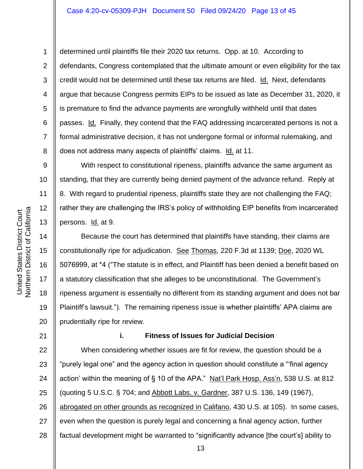determined until plaintiffs file their 2020 tax returns. Opp. at 10. According to defendants, Congress contemplated that the ultimate amount or even eligibility for the tax credit would not be determined until these tax returns are filed. Id. Next, defendants argue that because Congress permits EIPs to be issued as late as December 31, 2020, it is premature to find the advance payments are wrongfully withheld until that dates passes. Id. Finally, they contend that the FAQ addressing incarcerated persons is not a formal administrative decision, it has not undergone formal or informal rulemaking, and does not address many aspects of plaintiffs' claims. Id. at 11.

With respect to constitutional ripeness, plaintiffs advance the same argument as standing, that they are currently being denied payment of the advance refund. Reply at 8. With regard to prudential ripeness, plaintiffs state they are not challenging the FAQ; rather they are challenging the IRS's policy of withholding EIP benefits from incarcerated persons. Id. at 9.

Because the court has determined that plaintiffs have standing, their claims are constitutionally ripe for adjudication. See Thomas, 220 F.3d at 1139; Doe, 2020 WL 5076999, at \*4 ("The statute is in effect, and Plaintiff has been denied a benefit based on a statutory classification that she alleges to be unconstitutional. The Government's ripeness argument is essentially no different from its standing argument and does not bar Plaintiff's lawsuit."). The remaining ripeness issue is whether plaintiffs' APA claims are prudentially ripe for review.

#### **i. Fitness of Issues for Judicial Decision**

22 23 24 25 26 27 28 When considering whether issues are fit for review, the question should be a "purely legal one" and the agency action in question should constitute a "'final agency action' within the meaning of § 10 of the APA." Nat'l Park Hosp. Ass'n, 538 U.S. at 812 (quoting 5 U.S.C. § 704; and Abbott Labs. v. Gardner, 387 U.S. 136, 149 (1967), abrogated on other grounds as recognized in Califano, 430 U.S. at 105). In some cases, even when the question is purely legal and concerning a final agency action, further factual development might be warranted to "significantly advance [the court's] ability to

1

2

3

4

5

6

7

8

9

10

11

12

13

14

15

16

17

18

19

20

21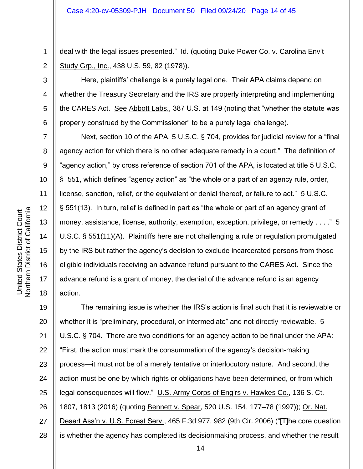deal with the legal issues presented." Id. (quoting Duke Power Co. v. Carolina Env't Study Grp., Inc., 438 U.S. 59, 82 (1978)).

Here, plaintiffs' challenge is a purely legal one. Their APA claims depend on whether the Treasury Secretary and the IRS are properly interpreting and implementing the CARES Act. See Abbott Labs., 387 U.S. at 149 (noting that "whether the statute was properly construed by the Commissioner" to be a purely legal challenge).

Next, section 10 of the APA, 5 U.S.C. § 704, provides for judicial review for a "final agency action for which there is no other adequate remedy in a court." The definition of "agency action," by cross reference of section 701 of the APA, is located at title 5 U.S.C. § 551, which defines "agency action" as "the whole or a part of an agency rule, order, license, sanction, relief, or the equivalent or denial thereof, or failure to act." 5 U.S.C. § 551(13). In turn, relief is defined in part as "the whole or part of an agency grant of money, assistance, license, authority, exemption, exception, privilege, or remedy . . . ." 5 U.S.C. § 551(11)(A). Plaintiffs here are not challenging a rule or regulation promulgated by the IRS but rather the agency's decision to exclude incarcerated persons from those eligible individuals receiving an advance refund pursuant to the CARES Act. Since the advance refund is a grant of money, the denial of the advance refund is an agency action.

19 20 21 22 23 24 25 26 27 28 The remaining issue is whether the IRS's action is final such that it is reviewable or whether it is "preliminary, procedural, or intermediate" and not directly reviewable. 5 U.S.C. § 704. There are two conditions for an agency action to be final under the APA: "First, the action must mark the consummation of the agency's decision-making process—it must not be of a merely tentative or interlocutory nature. And second, the action must be one by which rights or obligations have been determined, or from which legal consequences will flow." U.S. Army Corps of Eng'rs v. Hawkes Co., 136 S. Ct. 1807, 1813 (2016) (quoting Bennett v. Spear, 520 U.S. 154, 177–78 (1997)); Or. Nat. Desert Ass'n v. U.S. Forest Serv., 465 F.3d 977, 982 (9th Cir. 2006) ("[T]he core question is whether the agency has completed its decisionmaking process, and whether the result

1

2

3

4

5

6

7

8

9

10

11

12

13

14

15

16

17

18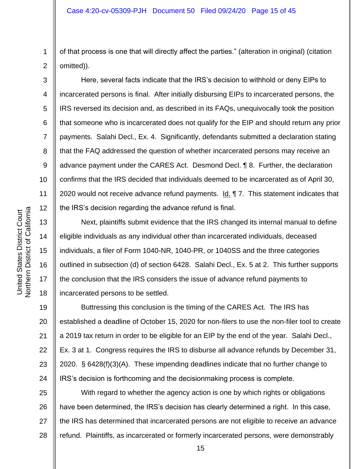1 2 of that process is one that will directly affect the parties." (alteration in original) (citation omitted)).

Here, several facts indicate that the IRS's decision to withhold or deny EIPs to incarcerated persons is final. After initially disbursing EIPs to incarcerated persons, the IRS reversed its decision and, as described in its FAQs, unequivocally took the position that someone who is incarcerated does not qualify for the EIP and should return any prior payments. Salahi Decl., Ex. 4. Significantly, defendants submitted a declaration stating that the FAQ addressed the question of whether incarcerated persons may receive an advance payment under the CARES Act. Desmond Decl. ¶ 8. Further, the declaration confirms that the IRS decided that individuals deemed to be incarcerated as of April 30, 2020 would not receive advance refund payments. Id. 17. This statement indicates that the IRS's decision regarding the advance refund is final.

Next, plaintiffs submit evidence that the IRS changed its internal manual to define eligible individuals as any individual other than incarcerated individuals, deceased individuals, a filer of Form 1040-NR, 1040-PR, or 1040SS and the three categories outlined in subsection (d) of section 6428. Salahi Decl., Ex. 5 at 2. This further supports the conclusion that the IRS considers the issue of advance refund payments to incarcerated persons to be settled.

19 20 21 22 23 24 Buttressing this conclusion is the timing of the CARES Act. The IRS has established a deadline of October 15, 2020 for non-filers to use the non-filer tool to create a 2019 tax return in order to be eligible for an EIP by the end of the year. Salahi Decl., Ex. 3 at 1. Congress requires the IRS to disburse all advance refunds by December 31, 2020. § 6428(f)(3)(A). These impending deadlines indicate that no further change to IRS's decision is forthcoming and the decisionmaking process is complete.

25 26 27 28 With regard to whether the agency action is one by which rights or obligations have been determined, the IRS's decision has clearly determined a right. In this case, the IRS has determined that incarcerated persons are not eligible to receive an advance refund. Plaintiffs, as incarcerated or formerly incarcerated persons, were demonstrably

3

4

5

6

7

8

9

10

11

12

13

14

15

16

17

18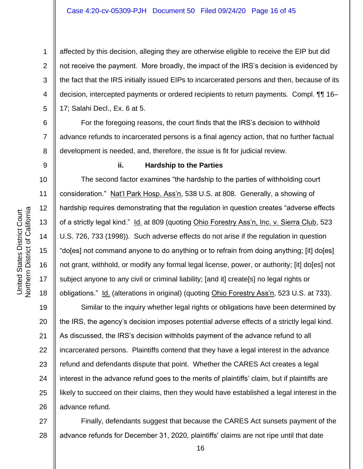2 3 4 affected by this decision, alleging they are otherwise eligible to receive the EIP but did not receive the payment. More broadly, the impact of the IRS's decision is evidenced by the fact that the IRS initially issued EIPs to incarcerated persons and then, because of its decision, intercepted payments or ordered recipients to return payments. Compl. ¶¶ 16– 17; Salahi Decl., Ex. 6 at 5.

For the foregoing reasons, the court finds that the IRS's decision to withhold advance refunds to incarcerated persons is a final agency action, that no further factual development is needed, and, therefore, the issue is fit for judicial review.

1

5

6

7

8

9

10

11

12

13

14

15

16

17

18

#### **ii. Hardship to the Parties**

The second factor examines "the hardship to the parties of withholding court consideration." Nat'l Park Hosp. Ass'n, 538 U.S. at 808. Generally, a showing of hardship requires demonstrating that the regulation in question creates "adverse effects of a strictly legal kind." Id. at 809 (quoting Ohio Forestry Ass'n, Inc. v. Sierra Club, 523 U.S. 726, 733 (1998)). Such adverse effects do not arise if the regulation in question "do[es] not command anyone to do anything or to refrain from doing anything; [it] do[es] not grant, withhold, or modify any formal legal license, power, or authority; [it] do[es] not subject anyone to any civil or criminal liability; [and it] create[s] no legal rights or obligations." Id. (alterations in original) (quoting Ohio Forestry Ass'n, 523 U.S. at 733).

19 20 21 22 23 24 25 26 Similar to the inquiry whether legal rights or obligations have been determined by the IRS, the agency's decision imposes potential adverse effects of a strictly legal kind. As discussed, the IRS's decision withholds payment of the advance refund to all incarcerated persons. Plaintiffs contend that they have a legal interest in the advance refund and defendants dispute that point. Whether the CARES Act creates a legal interest in the advance refund goes to the merits of plaintiffs' claim, but if plaintiffs are likely to succeed on their claims, then they would have established a legal interest in the advance refund.

27 28 Finally, defendants suggest that because the CARES Act sunsets payment of the advance refunds for December 31, 2020, plaintiffs' claims are not ripe until that date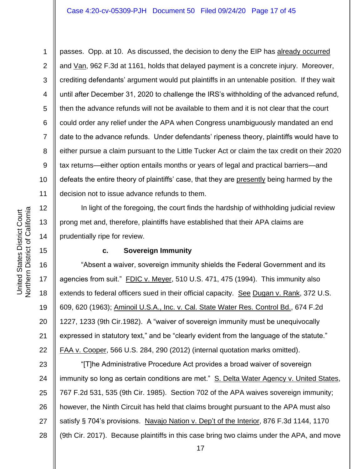1 2 3 4 5 6 7 8 9 10 11 passes. Opp. at 10. As discussed, the decision to deny the EIP has already occurred and Van, 962 F.3d at 1161, holds that delayed payment is a concrete injury. Moreover, crediting defendants' argument would put plaintiffs in an untenable position. If they wait until after December 31, 2020 to challenge the IRS's withholding of the advanced refund, then the advance refunds will not be available to them and it is not clear that the court could order any relief under the APA when Congress unambiguously mandated an end date to the advance refunds. Under defendants' ripeness theory, plaintiffs would have to either pursue a claim pursuant to the Little Tucker Act or claim the tax credit on their 2020 tax returns—either option entails months or years of legal and practical barriers—and defeats the entire theory of plaintiffs' case, that they are presently being harmed by the decision not to issue advance refunds to them.

In light of the foregoing, the court finds the hardship of withholding judicial review prong met and, therefore, plaintiffs have established that their APA claims are prudentially ripe for review.

## **c. Sovereign Immunity**

16 20 22 "Absent a waiver, sovereign immunity shields the Federal Government and its agencies from suit." FDIC v. Meyer, 510 U.S. 471, 475 (1994). This immunity also extends to federal officers sued in their official capacity. See Dugan v. Rank, 372 U.S. 609, 620 (1963); Aminoil U.S.A., Inc. v. Cal. State Water Res. Control Bd., 674 F.2d 1227, 1233 (9th Cir.1982). A "waiver of sovereign immunity must be unequivocally expressed in statutory text," and be "clearly evident from the language of the statute." FAA v. Cooper, 566 U.S. 284, 290 (2012) (internal quotation marks omitted).

23 24 25 26 27 28 "[T]he Administrative Procedure Act provides a broad waiver of sovereign immunity so long as certain conditions are met." S. Delta Water Agency v. United States, 767 F.2d 531, 535 (9th Cir. 1985). Section 702 of the APA waives sovereign immunity; however, the Ninth Circuit has held that claims brought pursuant to the APA must also satisfy § 704's provisions. Navajo Nation v. Dep't of the Interior, 876 F.3d 1144, 1170 (9th Cir. 2017). Because plaintiffs in this case bring two claims under the APA, and move

12

13

14

15

17

18

19

21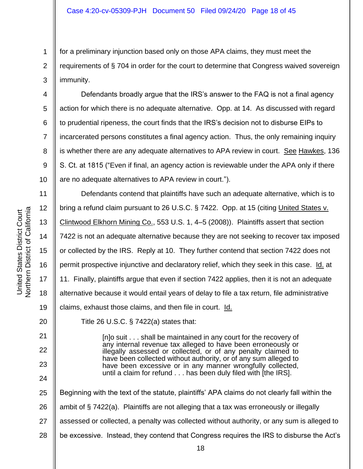for a preliminary injunction based only on those APA claims, they must meet the requirements of § 704 in order for the court to determine that Congress waived sovereign immunity.

Defendants broadly argue that the IRS's answer to the FAQ is not a final agency action for which there is no adequate alternative. Opp. at 14. As discussed with regard to prudential ripeness, the court finds that the IRS's decision not to disburse EIPs to incarcerated persons constitutes a final agency action. Thus, the only remaining inquiry is whether there are any adequate alternatives to APA review in court. See Hawkes, 136 S. Ct. at 1815 ("Even if final, an agency action is reviewable under the APA only if there are no adequate alternatives to APA review in court.").

11 12 13 14 15 16 17 18 19 Defendants contend that plaintiffs have such an adequate alternative, which is to bring a refund claim pursuant to 26 U.S.C. § 7422. Opp. at 15 (citing United States v. Clintwood Elkhorn Mining Co., 553 U.S. 1, 4–5 (2008)). Plaintiffs assert that section 7422 is not an adequate alternative because they are not seeking to recover tax imposed or collected by the IRS. Reply at 10. They further contend that section 7422 does not permit prospective injunctive and declaratory relief, which they seek in this case. Id. at 11. Finally, plaintiffs argue that even if section 7422 applies, then it is not an adequate alternative because it would entail years of delay to file a tax return, file administrative claims, exhaust those claims, and then file in court. Id.

Title 26 U.S.C.  $\S$  7422(a) states that:

[n]o suit . . . shall be maintained in any court for the recovery of any internal revenue tax alleged to have been erroneously or illegally assessed or collected, or of any penalty claimed to have been collected without authority, or of any sum alleged to have been excessive or in any manner wrongfully collected, until a claim for refund . . . has been duly filed with [the IRS].

25 26 27 28 Beginning with the text of the statute, plaintiffs' APA claims do not clearly fall within the ambit of § 7422(a). Plaintiffs are not alleging that a tax was erroneously or illegally assessed or collected, a penalty was collected without authority, or any sum is alleged to be excessive. Instead, they contend that Congress requires the IRS to disburse the Act's

1

2

3

4

5

6

7

8

9

10

20

21

22

23

24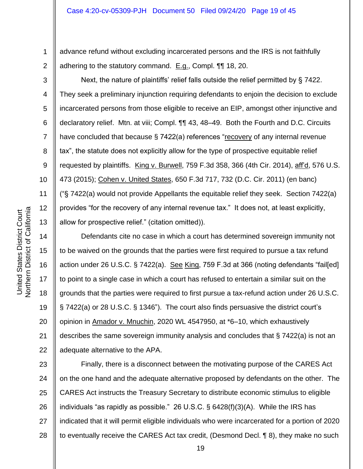advance refund without excluding incarcerated persons and the IRS is not faithfully adhering to the statutory command. E.g., Compl. ¶¶ 18, 20.

Next, the nature of plaintiffs' relief falls outside the relief permitted by § 7422. They seek a preliminary injunction requiring defendants to enjoin the decision to exclude incarcerated persons from those eligible to receive an EIP, amongst other injunctive and declaratory relief. Mtn. at viii; Compl. ¶¶ 43, 48–49. Both the Fourth and D.C. Circuits have concluded that because § 7422(a) references "recovery of any internal revenue tax", the statute does not explicitly allow for the type of prospective equitable relief requested by plaintiffs. King v. Burwell, 759 F.3d 358, 366 (4th Cir. 2014), aff'd, 576 U.S. 473 (2015); Cohen v. United States, 650 F.3d 717, 732 (D.C. Cir. 2011) (en banc) ("§ 7422(a) would not provide Appellants the equitable relief they seek. Section 7422(a) provides "for the recovery of any internal revenue tax." It does not, at least explicitly, allow for prospective relief." (citation omitted)).

14 15 16 20 22 Defendants cite no case in which a court has determined sovereign immunity not to be waived on the grounds that the parties were first required to pursue a tax refund action under 26 U.S.C. § 7422(a). See King, 759 F.3d at 366 (noting defendants "fail[ed] to point to a single case in which a court has refused to entertain a similar suit on the grounds that the parties were required to first pursue a tax-refund action under 26 U.S.C. § 7422(a) or 28 U.S.C. § 1346"). The court also finds persuasive the district court's opinion in Amador v. Mnuchin, 2020 WL 4547950, at \*6–10, which exhaustively describes the same sovereign immunity analysis and concludes that § 7422(a) is not an adequate alternative to the APA.

23 24 25 26 27 28 Finally, there is a disconnect between the motivating purpose of the CARES Act on the one hand and the adequate alternative proposed by defendants on the other. The CARES Act instructs the Treasury Secretary to distribute economic stimulus to eligible individuals "as rapidly as possible." 26 U.S.C. § 6428(f)(3)(A). While the IRS has indicated that it will permit eligible individuals who were incarcerated for a portion of 2020 to eventually receive the CARES Act tax credit, (Desmond Decl. ¶ 8), they make no such

1

2

3

4

5

6

7

8

9

10

11

12

13

17

18

19

21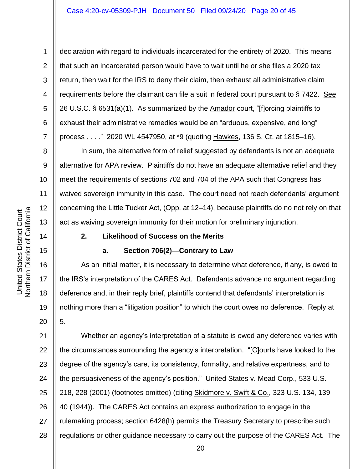declaration with regard to individuals incarcerated for the entirety of 2020. This means that such an incarcerated person would have to wait until he or she files a 2020 tax return, then wait for the IRS to deny their claim, then exhaust all administrative claim requirements before the claimant can file a suit in federal court pursuant to  $\S 7422$ . See 26 U.S.C. § 6531(a)(1). As summarized by the Amador court, "[f]orcing plaintiffs to exhaust their administrative remedies would be an "arduous, expensive, and long" process . . . ." 2020 WL 4547950, at \*9 (quoting Hawkes, 136 S. Ct. at 1815–16).

In sum, the alternative form of relief suggested by defendants is not an adequate alternative for APA review. Plaintiffs do not have an adequate alternative relief and they meet the requirements of sections 702 and 704 of the APA such that Congress has waived sovereign immunity in this case*.* The court need not reach defendants' argument concerning the Little Tucker Act, (Opp. at 12–14), because plaintiffs do no not rely on that act as waiving sovereign immunity for their motion for preliminary injunction.

## **2. Likelihood of Success on the Merits**

## **a. Section 706(2)—Contrary to Law**

As an initial matter, it is necessary to determine what deference, if any, is owed to the IRS's interpretation of the CARES Act. Defendants advance no argument regarding deference and, in their reply brief, plaintiffs contend that defendants' interpretation is nothing more than a "litigation position" to which the court owes no deference. Reply at 5.

21 22 23 24 25 26 27 28 Whether an agency's interpretation of a statute is owed any deference varies with the circumstances surrounding the agency's interpretation. "[C]ourts have looked to the degree of the agency's care, its consistency, formality, and relative expertness, and to the persuasiveness of the agency's position." United States v. Mead Corp., 533 U.S. 218, 228 (2001) (footnotes omitted) (citing Skidmore v. Swift & Co., 323 U.S. 134, 139– 40 (1944)). The CARES Act contains an express authorization to engage in the rulemaking process; section 6428(h) permits the Treasury Secretary to prescribe such regulations or other guidance necessary to carry out the purpose of the CARES Act. The

20

1

2

3

4

5

6

7

8

9

10

11

12

13

14

15

16

17

18

19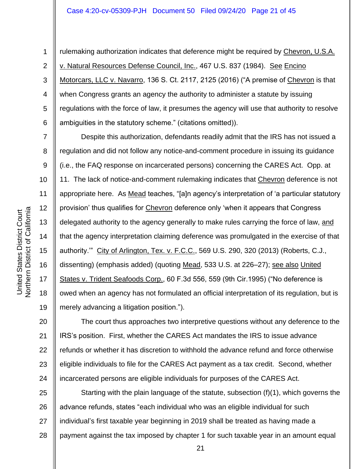1 2 3 4 5 6 rulemaking authorization indicates that deference might be required by Chevron, U.S.A. v. Natural Resources Defense Council, Inc., 467 U.S. 837 (1984). See Encino Motorcars, LLC v. Navarro, 136 S. Ct. 2117, 2125 (2016) ("A premise of Chevron is that when Congress grants an agency the authority to administer a statute by issuing regulations with the force of law, it presumes the agency will use that authority to resolve ambiguities in the statutory scheme." (citations omitted)).

Despite this authorization, defendants readily admit that the IRS has not issued a regulation and did not follow any notice-and-comment procedure in issuing its guidance (i.e., the FAQ response on incarcerated persons) concerning the CARES Act. Opp. at 11. The lack of notice-and-comment rulemaking indicates that Chevron deference is not appropriate here. As Mead teaches, "[a]n agency's interpretation of 'a particular statutory provision' thus qualifies for Chevron deference only 'when it appears that Congress delegated authority to the agency generally to make rules carrying the force of law, and that the agency interpretation claiming deference was promulgated in the exercise of that authority.'" City of Arlington, Tex. v. F.C.C., 569 U.S. 290, 320 (2013) (Roberts, C.J., dissenting) (emphasis added) (quoting Mead, 533 U.S. at 226–27); see also United States v. Trident Seafoods Corp., 60 F.3d 556, 559 (9th Cir.1995) ("No deference is owed when an agency has not formulated an official interpretation of its regulation, but is merely advancing a litigation position.").

20 21 22 23 24 The court thus approaches two interpretive questions without any deference to the IRS's position. First, whether the CARES Act mandates the IRS to issue advance refunds or whether it has discretion to withhold the advance refund and force otherwise eligible individuals to file for the CARES Act payment as a tax credit. Second, whether incarcerated persons are eligible individuals for purposes of the CARES Act.

25 26 27 28 Starting with the plain language of the statute, subsection (f)(1), which governs the advance refunds, states "each individual who was an eligible individual for such individual's first taxable year beginning in 2019 shall be treated as having made a payment against the tax imposed by chapter 1 for such taxable year in an amount equal

7

8

9

10

11

12

13

14

15

16

17

18

19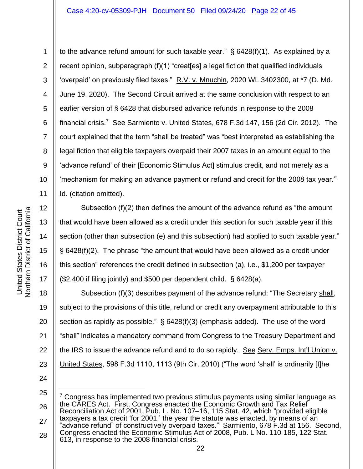1 2 3 4 5 6 7 8 9 to the advance refund amount for such taxable year." § 6428(f)(1). As explained by a recent opinion, subparagraph (f)(1) "creat[es] a legal fiction that qualified individuals 'overpaid' on previously filed taxes."  $R.V. v. Mnuchin$ , 2020 WL 3402300, at  $*7$  (D. Md. June 19, 2020). The Second Circuit arrived at the same conclusion with respect to an earlier version of § 6428 that disbursed advance refunds in response to the 2008 financial crisis.<sup>7</sup> See Sarmiento v. United States, 678 F.3d 147, 156 (2d Cir. 2012). The court explained that the term "shall be treated" was "best interpreted as establishing the legal fiction that eligible taxpayers overpaid their 2007 taxes in an amount equal to the 'advance refund' of their [Economic Stimulus Act] stimulus credit, and not merely as a 'mechanism for making an advance payment or refund and credit for the 2008 tax year.'" Id. (citation omitted).

Subsection (f)(2) then defines the amount of the advance refund as "the amount that would have been allowed as a credit under this section for such taxable year if this section (other than subsection (e) and this subsection) had applied to such taxable year." § 6428(f)(2). The phrase "the amount that would have been allowed as a credit under this section" references the credit defined in subsection (a), i.e., \$1,200 per taxpayer (\$2,400 if filing jointly) and \$500 per dependent child. § 6428(a).

18 19 20 21 22 23 Subsection (f)(3) describes payment of the advance refund: "The Secretary shall, subject to the provisions of this title, refund or credit any overpayment attributable to this section as rapidly as possible." § 6428(f)(3) (emphasis added). The use of the word "shall" indicates a mandatory command from Congress to the Treasury Department and the IRS to issue the advance refund and to do so rapidly. See Serv. Emps. Int'l Union v. United States, 598 F.3d 1110, 1113 (9th Cir. 2010) ("The word 'shall' is ordinarily [t]he

24

25 26 27 28  $7$  Congress has implemented two previous stimulus payments using similar language as the CARES Act. First, Congress enacted the Economic Growth and Tax Relief Reconciliation Act of 2001, Pub. L. No. 107–16, 115 Stat. 42, which "provided eligible taxpayers a tax credit 'for 2001,' the year the statute was enacted, by means of an "advance refund" of constructively overpaid taxes." Sarmiento, 678 F.3d at 156. Second, Congress enacted the Economic Stimulus Act of 2008, Pub. L No. 110-185, 122 Stat. 613, in response to the 2008 financial crisis.

14

15

16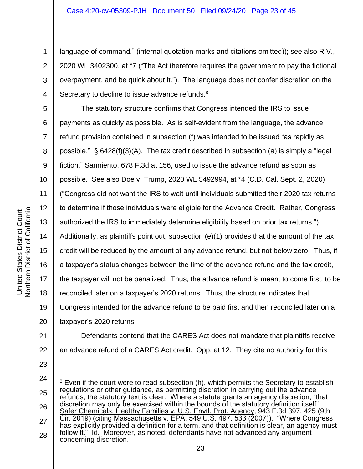language of command." (internal quotation marks and citations omitted)); see also R.V., 2020 WL 3402300, at \*7 ("The Act therefore requires the government to pay the fictional overpayment, and be quick about it."). The language does not confer discretion on the Secretary to decline to issue advance refunds.<sup>8</sup>

5 6 7 8 9 10 11 12 13 14 15 20 The statutory structure confirms that Congress intended the IRS to issue payments as quickly as possible. As is self-evident from the language, the advance refund provision contained in subsection (f) was intended to be issued "as rapidly as possible."  $\S$  6428(f)(3)(A). The tax credit described in subsection (a) is simply a "legal fiction," Sarmiento, 678 F.3d at 156, used to issue the advance refund as soon as possible. See also Doe v. Trump, 2020 WL 5492994, at \*4 (C.D. Cal. Sept. 2, 2020) ("Congress did not want the IRS to wait until individuals submitted their 2020 tax returns to determine if those individuals were eligible for the Advance Credit. Rather, Congress authorized the IRS to immediately determine eligibility based on prior tax returns."). Additionally, as plaintiffs point out, subsection (e)(1) provides that the amount of the tax credit will be reduced by the amount of any advance refund, but not below zero. Thus, if a taxpayer's status changes between the time of the advance refund and the tax credit, the taxpayer will not be penalized. Thus, the advance refund is meant to come first, to be reconciled later on a taxpayer's 2020 returns. Thus, the structure indicates that Congress intended for the advance refund to be paid first and then reconciled later on a taxpayer's 2020 returns.

1

2

3

4

21 22

23

25 26 27 28 Even if the court were to read subsection (h), which permits the Secretary to establish regulations or other guidance, as permitting discretion in carrying out the advance refunds, the statutory text is clear. Where a statute grants an agency discretion, "that discretion may only be exercised within the bounds of the statutory definition itself." Safer Chemicals, Healthy Families v. U.S. Envtl. Prot. Agency, 943 F.3d 397, 425 (9th Cir. 2019) (citing Massachusetts v. EPA, 549 U.S. 497, 533 (2007)). "Where Congress has explicitly provided a definition for a term, and that definition is clear, an agency must follow it." Id. Moreover, as noted, defendants have not advanced any argument concerning discretion.

an advance refund of a CARES Act credit. Opp. at 12. They cite no authority for this

Defendants contend that the CARES Act does not mandate that plaintiffs receive

<sup>24</sup>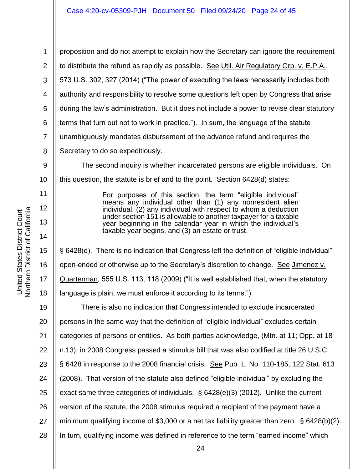1 2 3 4 5 6 7 8 proposition and do not attempt to explain how the Secretary can ignore the requirement to distribute the refund as rapidly as possible. See Util. Air Regulatory Grp. v. E.P.A., 573 U.S. 302, 327 (2014) ("The power of executing the laws necessarily includes both authority and responsibility to resolve some questions left open by Congress that arise during the law's administration. But it does not include a power to revise clear statutory terms that turn out not to work in practice."). In sum, the language of the statute unambiguously mandates disbursement of the advance refund and requires the Secretary to do so expeditiously.

9 10 The second inquiry is whether incarcerated persons are eligible individuals. On this question, the statute is brief and to the point. Section 6428(d) states:

> For purposes of this section, the term "eligible individual" means any individual other than (1) any nonresident alien individual, (2) any individual with respect to whom a deduction under section 151 is allowable to another taxpayer for a taxable year beginning in the calendar year in which the individual's taxable year begins, and (3) an estate or trust.

§ 6428(d). There is no indication that Congress left the definition of "eligible individual" open-ended or otherwise up to the Secretary's discretion to change. See Jimenez v. Quarterman, 555 U.S. 113, 118 (2009) ("It is well established that, when the statutory language is plain, we must enforce it according to its terms.").

19 20 21 22 23 24 25 26 27 28 There is also no indication that Congress intended to exclude incarcerated persons in the same way that the definition of "eligible individual" excludes certain categories of persons or entities. As both parties acknowledge, (Mtn. at 11; Opp. at 18 n.13), in 2008 Congress passed a stimulus bill that was also codified at title 26 U.S.C. § 6428 in response to the 2008 financial crisis. See Pub. L. No. 110-185, 122 Stat. 613 (2008). That version of the statute also defined "eligible individual" by excluding the exact same three categories of individuals. § 6428(e)(3) (2012). Unlike the current version of the statute, the 2008 stimulus required a recipient of the payment have a minimum qualifying income of \$3,000 or a net tax liability greater than zero. § 6428(b)(2). In turn, qualifying income was defined in reference to the term "earned income" which

11

12

13

14

15

16

17

18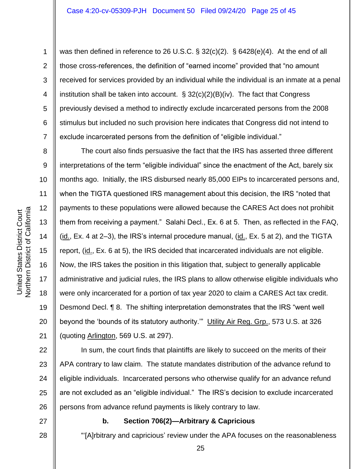was then defined in reference to 26 U.S.C. § 32(c)(2). § 6428(e)(4). At the end of all those cross-references, the definition of "earned income" provided that "no amount received for services provided by an individual while the individual is an inmate at a penal institution shall be taken into account.  $\S 32(c)(2)(B)(iv)$ . The fact that Congress previously devised a method to indirectly exclude incarcerated persons from the 2008 stimulus but included no such provision here indicates that Congress did not intend to exclude incarcerated persons from the definition of "eligible individual."

The court also finds persuasive the fact that the IRS has asserted three different interpretations of the term "eligible individual" since the enactment of the Act, barely six months ago. Initially, the IRS disbursed nearly 85,000 EIPs to incarcerated persons and, when the TIGTA questioned IRS management about this decision, the IRS "noted that payments to these populations were allowed because the CARES Act does not prohibit them from receiving a payment." Salahi Decl., Ex. 6 at 5. Then, as reflected in the FAQ,  $(i_d, Ex. 4$  at 2–3), the IRS's internal procedure manual,  $(i_d, Ex. 5$  at 2), and the TIGTA report, (id., Ex. 6 at 5), the IRS decided that incarcerated individuals are not eligible. Now, the IRS takes the position in this litigation that, subject to generally applicable administrative and judicial rules, the IRS plans to allow otherwise eligible individuals who were only incarcerated for a portion of tax year 2020 to claim a CARES Act tax credit. Desmond Decl. ¶ 8. The shifting interpretation demonstrates that the IRS "went well beyond the 'bounds of its statutory authority."" Utility Air Reg. Grp., 573 U.S. at 326 (quoting Arlington, 569 U.S. at 297).

In sum, the court finds that plaintiffs are likely to succeed on the merits of their APA contrary to law claim. The statute mandates distribution of the advance refund to eligible individuals. Incarcerated persons who otherwise qualify for an advance refund are not excluded as an "eligible individual." The IRS's decision to exclude incarcerated persons from advance refund payments is likely contrary to law.

27

28

#### **b. Section 706(2)—Arbitrary & Capricious**

"'[A]rbitrary and capricious' review under the APA focuses on the reasonableness

1

2

3

4

5

6

7

8

9

10

11

12

13

14

15

16

17

18

19

20

21

22

23

24

25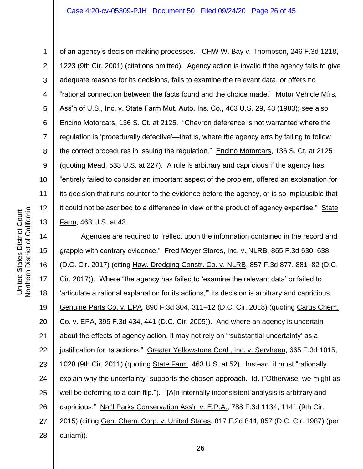1 2 3 4 5 6 7 8 9 10 11 12 13 of an agency's decision-making processes." CHW W. Bay v. Thompson, 246 F.3d 1218, 1223 (9th Cir. 2001) (citations omitted). Agency action is invalid if the agency fails to give adequate reasons for its decisions, fails to examine the relevant data, or offers no "rational connection between the facts found and the choice made." Motor Vehicle Mfrs. Ass'n of U.S., Inc. v. State Farm Mut. Auto. Ins. Co., 463 U.S. 29, 43 (1983); see also Encino Motorcars, 136 S. Ct. at 2125. "Chevron deference is not warranted where the regulation is 'procedurally defective'—that is, where the agency errs by failing to follow the correct procedures in issuing the regulation." Encino Motorcars, 136 S. Ct. at 2125 (quoting Mead, 533 U.S. at 227). A rule is arbitrary and capricious if the agency has "entirely failed to consider an important aspect of the problem, offered an explanation for its decision that runs counter to the evidence before the agency, or is so implausible that it could not be ascribed to a difference in view or the product of agency expertise." State Farm, 463 U.S. at 43.

14 15 16 17 18 19 20 21 22 23 24 25 26 27 28 Agencies are required to "reflect upon the information contained in the record and grapple with contrary evidence." Fred Meyer Stores, Inc. v. NLRB, 865 F.3d 630, 638 (D.C. Cir. 2017) (citing Haw. Dredging Constr. Co. v. NLRB, 857 F.3d 877, 881–82 (D.C. Cir. 2017)). Where "the agency has failed to 'examine the relevant data' or failed to 'articulate a rational explanation for its actions,'" its decision is arbitrary and capricious. Genuine Parts Co. v. EPA, 890 F.3d 304, 311–12 (D.C. Cir. 2018) (quoting Carus Chem. Co. v. EPA, 395 F.3d 434, 441 (D.C. Cir. 2005)). And where an agency is uncertain about the effects of agency action, it may not rely on "'substantial uncertainty' as a justification for its actions." Greater Yellowstone Coal., Inc. v. Servheen, 665 F.3d 1015, 1028 (9th Cir. 2011) (quoting State Farm, 463 U.S. at 52). Instead, it must "rationally explain why the uncertainty" supports the chosen approach. Id. ("Otherwise, we might as well be deferring to a coin flip."). "[A]n internally inconsistent analysis is arbitrary and capricious." Nat'l Parks Conservation Ass'n v. E.P.A., 788 F.3d 1134, 1141 (9th Cir. 2015) (citing Gen. Chem. Corp. v. United States, 817 F.2d 844, 857 (D.C. Cir. 1987) (per curiam)).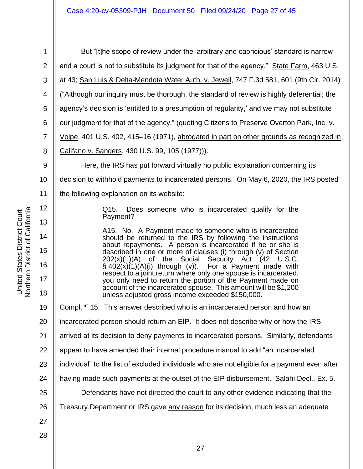| 1              | But "[t]he scope of review under the 'arbitrary and capricious' standard is narrow                                                                                                  |  |
|----------------|-------------------------------------------------------------------------------------------------------------------------------------------------------------------------------------|--|
| $\overline{2}$ | and a court is not to substitute its judgment for that of the agency." State Farm, 463 U.S.                                                                                         |  |
| 3              | at 43; San Luis & Delta-Mendota Water Auth. v. Jewell, 747 F.3d 581, 601 (9th Cir. 2014)                                                                                            |  |
| 4              | ("Although our inquiry must be thorough, the standard of review is highly deferential; the                                                                                          |  |
| 5              | agency's decision is 'entitled to a presumption of regularity,' and we may not substitute                                                                                           |  |
| 6              | our judgment for that of the agency." (quoting Citizens to Preserve Overton Park, Inc. v.                                                                                           |  |
| $\overline{7}$ | Volpe, 401 U.S. 402, 415-16 (1971), abrogated in part on other grounds as recognized in                                                                                             |  |
| 8              | Califano v. Sanders, 430 U.S. 99, 105 (1977))).                                                                                                                                     |  |
| 9              | Here, the IRS has put forward virtually no public explanation concerning its                                                                                                        |  |
| 10             | decision to withhold payments to incarcerated persons. On May 6, 2020, the IRS posted                                                                                               |  |
| 11             | the following explanation on its website:                                                                                                                                           |  |
| 12             | Does someone who is incarcerated qualify for the<br>Q15.                                                                                                                            |  |
| 13             | Payment?                                                                                                                                                                            |  |
| 14             | A15. No. A Payment made to someone who is incarcerated<br>should be returned to the IRS by following the instructions<br>about repayments. A person is incarcerated if he or she is |  |
| 15             | described in one or more of clauses (i) through (v) of Section<br>$202(x)(1)(A)$ of the Social Security Act $(42 \text{ U.S.C.})$                                                   |  |
| 16             | $\S$ 402(x)(1)(A)(i) through (v)). For a Payment made with<br>respect to a joint return where only one spouse is incarcerated,                                                      |  |
| 17             | you only need to return the portion of the Payment made on<br>account of the incarcerated spouse. This amount will be \$1,200                                                       |  |
| 18             | unless adjusted gross income exceeded \$150,000.                                                                                                                                    |  |
| 19             | Compl. ¶ 15. This answer described who is an incarcerated person and how an                                                                                                         |  |
| 20             | incarcerated person should return an EIP. It does not describe why or how the IRS                                                                                                   |  |
| 21             | arrived at its decision to deny payments to incarcerated persons. Similarly, defendants                                                                                             |  |
| 22             | appear to have amended their internal procedure manual to add "an incarcerated                                                                                                      |  |
| 23             | individual" to the list of excluded individuals who are not eligible for a payment even after                                                                                       |  |
| 24             | having made such payments at the outset of the EIP disbursement. Salahi Decl., Ex. 5.                                                                                               |  |
| 25             | Defendants have not directed the court to any other evidence indicating that the                                                                                                    |  |
| 26             | Treasury Department or IRS gave any reason for its decision, much less an adequate                                                                                                  |  |
| 27             |                                                                                                                                                                                     |  |
| 28             |                                                                                                                                                                                     |  |
|                | 27                                                                                                                                                                                  |  |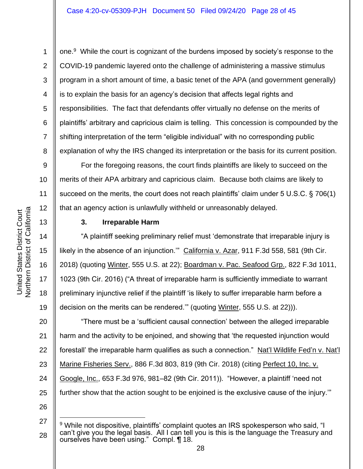6

7

8

9

10

11

12

15

16

17

18

19

1

one.<sup>9</sup> While the court is cognizant of the burdens imposed by society's response to the COVID-19 pandemic layered onto the challenge of administering a massive stimulus program in a short amount of time, a basic tenet of the APA (and government generally) is to explain the basis for an agency's decision that affects legal rights and responsibilities.The fact that defendants offer virtually no defense on the merits of plaintiffs' arbitrary and capricious claim is telling. This concession is compounded by the shifting interpretation of the term "eligible individual" with no corresponding public explanation of why the IRS changed its interpretation or the basis for its current position.

For the foregoing reasons, the court finds plaintiffs are likely to succeed on the merits of their APA arbitrary and capricious claim. Because both claims are likely to succeed on the merits, the court does not reach plaintiffs' claim under 5 U.S.C. § 706(1) that an agency action is unlawfully withheld or unreasonably delayed.

13 14 Northern District of California

United States District Court

Northern District of California United States District Court

## **3. Irreparable Harm**

"A plaintiff seeking preliminary relief must 'demonstrate that irreparable injury is likely in the absence of an injunction." California v. Azar, 911 F.3d 558, 581 (9th Cir. 2018) (quoting Winter, 555 U.S. at 22); Boardman v. Pac. Seafood Grp., 822 F.3d 1011, 1023 (9th Cir. 2016) ("A threat of irreparable harm is sufficiently immediate to warrant preliminary injunctive relief if the plaintiff 'is likely to suffer irreparable harm before a decision on the merits can be rendered.'" (quoting Winter, 555 U.S. at 22))).

20 21 22 23 24 25 "There must be a 'sufficient causal connection' between the alleged irreparable harm and the activity to be enjoined, and showing that 'the requested injunction would forestall' the irreparable harm qualifies as such a connection." Nat'l Wildlife Fed'n v. Nat'l Marine Fisheries Serv., 886 F.3d 803, 819 (9th Cir. 2018) (citing Perfect 10, Inc. v. Google, Inc., 653 F.3d 976, 981–82 (9th Cir. 2011)). "However, a plaintiff 'need not further show that the action sought to be enjoined is the exclusive cause of the injury.'"

<sup>27</sup> 28 <sup>9</sup> While not dispositive, plaintiffs' complaint quotes an IRS spokesperson who said, "I can't give you the legal basis. All I can tell you is this is the language the Treasury and ourselves have been using." Compl. ¶ 18.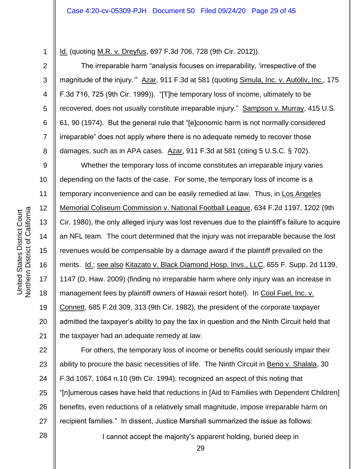Id. (quoting M.R. v. Dreyfus, 697 F.3d 706, 728 (9th Cir. 2012)).

The irreparable harm "analysis focuses on irreparability, 'irrespective of the magnitude of the injury." Azar, 911 F.3d at 581 (quoting Simula, Inc. v. Autoliv, Inc., 175 F.3d 716, 725 (9th Cir. 1999)). "[T]he temporary loss of income, ultimately to be recovered, does not usually constitute irreparable injury." Sampson v. Murray, 415 U.S. 61, 90 (1974). But the general rule that "[e]conomic harm is not normally considered irreparable" does not apply where there is no adequate remedy to recover those damages, such as in APA cases. Azar, 911 F.3d at 581 (citing 5 U.S.C. § 702).

9 10 11 12 13 14 15 16 17 18 19 20 21 Whether the temporary loss of income constitutes an irreparable injury varies depending on the facts of the case. For some, the temporary loss of income is a temporary inconvenience and can be easily remedied at law. Thus, in Los Angeles Memorial Coliseum Commission v. National Football League, 634 F.2d 1197, 1202 (9th Cir. 1980), the only alleged injury was lost revenues due to the plaintiff's failure to acquire an NFL team. The court determined that the injury was not irreparable because the lost revenues would be compensable by a damage award if the plaintiff prevailed on the merits. Id.; see also Kitazato v. Black Diamond Hosp. Invs., LLC, 655 F. Supp. 2d 1139, 1147 (D. Haw. 2009) (finding no irreparable harm where only injury was an increase in management fees by plaintiff owners of Hawaii resort hotel). In Cool Fuel, Inc. v. Connett, 685 F.2d 309, 313 (9th Cir. 1982), the president of the corporate taxpayer admitted the taxpayer's ability to pay the tax in question and the Ninth Circuit held that the taxpayer had an adequate remedy at law.

22 23 24 25 26 27 For others, the temporary loss of income or benefits could seriously impair their ability to procure the basic necessities of life. The Ninth Circuit in Beno v. Shalala, 30 F.3d 1057, 1064 n.10 (9th Cir. 1994), recognized an aspect of this noting that "[n]umerous cases have held that reductions in [Aid to Families with Dependent Children] benefits, even reductions of a relatively small magnitude, impose irreparable harm on recipient families." In dissent, Justice Marshall summarized the issue as follows:

I cannot accept the majority's apparent holding, buried deep in

28

1

2

3

4

5

6

7

8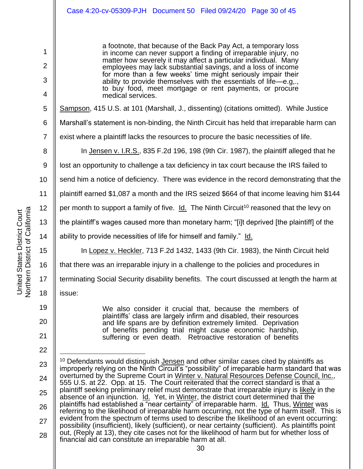a footnote, that because of the Back Pay Act, a temporary loss in income can never support a finding of irreparable injury, no matter how severely it may affect a particular individual. Many employees may lack substantial savings, and a loss of income for more than a few weeks' time might seriously impair their ability to provide themselves with the essentials of life—e.g,., to buy food, meet mortgage or rent payments, or procure medical services.

Sampson, 415 U.S. at 101 (Marshall, J., dissenting) (citations omitted). While Justice

6 Marshall's statement is non-binding, the Ninth Circuit has held that irreparable harm can

7 exist where a plaintiff lacks the resources to procure the basic necessities of life.

In Jensen v. I.R.S., 835 F.2d 196, 198 (9th Cir. 1987), the plaintiff alleged that he

9 lost an opportunity to challenge a tax deficiency in tax court because the IRS failed to

10 send him a notice of deficiency. There was evidence in the record demonstrating that the

11 plaintiff earned \$1,087 a month and the IRS seized \$664 of that income leaving him \$144

12 per month to support a family of five. Id. The Ninth Circuit<sup>10</sup> reasoned that the levy on

the plaintiff's wages caused more than monetary harm; "[i]t deprived [the plaintiff] of the

ability to provide necessities of life for himself and family." Id.

In Lopez v. Heckler, 713 F.2d 1432, 1433 (9th Cir. 1983), the Ninth Circuit held

16 that there was an irreparable injury in a challenge to the policies and procedures in

terminating Social Security disability benefits. The court discussed at length the harm at

issue:

19 20

21

22

We also consider it crucial that, because the members of plaintiffs' class are largely infirm and disabled, their resources and life spans are by definition extremely limited. Deprivation of benefits pending trial might cause economic hardship, suffering or even death. Retroactive restoration of benefits

1

2

3

4

5

8

13

14

15

17

18

<sup>23</sup> 24 25 26 27 28  $10$  Defendants would distinguish Jensen and other similar cases cited by plaintiffs as improperly relying on the Ninth Circuit's "possibility" of irreparable harm standard that was overturned by the Supreme Court in Winter v. Natural Resources Defense Council, Inc., 555 U.S. at 22. Opp. at 15. The Court reiterated that the correct standard is that a plaintiff seeking preliminary relief must demonstrate that irreparable injury is likely in the absence of an injunction. *Id.* Yet, in Winter, the district court determined that the plaintiffs had established a "near certainty" of irreparable harm. Id. Thus, Winter was referring to the likelihood of irreparable harm occurring, not the type of harm itself. This is evident from the spectrum of terms used to describe the likelihood of an event occurring: possibility (insufficient), likely (sufficient), or near certainty (sufficient). As plaintiffs point out, (Reply at 13), they cite cases not for the likelihood of harm but for whether loss of financial aid can constitute an irreparable harm at all.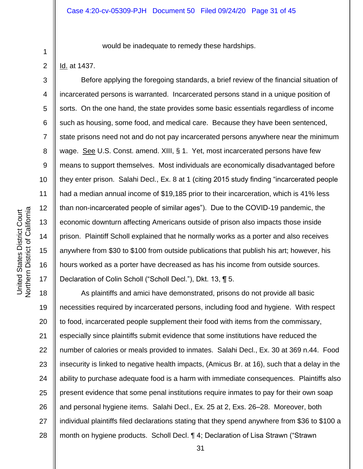would be inadequate to remedy these hardships.

Id. at 1437.

1

2

3

4

5

6

7

8

9

10

11

12

13

14

15

16

17

Before applying the foregoing standards, a brief review of the financial situation of incarcerated persons is warranted. Incarcerated persons stand in a unique position of sorts. On the one hand, the state provides some basic essentials regardless of income such as housing, some food, and medical care. Because they have been sentenced, state prisons need not and do not pay incarcerated persons anywhere near the minimum wage. See U.S. Const. amend. XIII, § 1. Yet, most incarcerated persons have few means to support themselves. Most individuals are economically disadvantaged before they enter prison. Salahi Decl., Ex. 8 at 1 (citing 2015 study finding "incarcerated people had a median annual income of \$19,185 prior to their incarceration, which is 41% less than non-incarcerated people of similar ages"). Due to the COVID-19 pandemic, the economic downturn affecting Americans outside of prison also impacts those inside prison. Plaintiff Scholl explained that he normally works as a porter and also receives anywhere from \$30 to \$100 from outside publications that publish his art; however, his hours worked as a porter have decreased as has his income from outside sources. Declaration of Colin Scholl ("Scholl Decl."), Dkt. 13, ¶ 5.

18 19 20 21 22 23 24 25 26 27 28 As plaintiffs and amici have demonstrated, prisons do not provide all basic necessities required by incarcerated persons, including food and hygiene. With respect to food, incarcerated people supplement their food with items from the commissary, especially since plaintiffs submit evidence that some institutions have reduced the number of calories or meals provided to inmates. Salahi Decl., Ex. 30 at 369 n.44. Food insecurity is linked to negative health impacts, (Amicus Br. at 16), such that a delay in the ability to purchase adequate food is a harm with immediate consequences. Plaintiffs also present evidence that some penal institutions require inmates to pay for their own soap and personal hygiene items. Salahi Decl., Ex. 25 at 2, Exs. 26–28. Moreover, both individual plaintiffs filed declarations stating that they spend anywhere from \$36 to \$100 a month on hygiene products. Scholl Decl. ¶ 4; Declaration of Lisa Strawn ("Strawn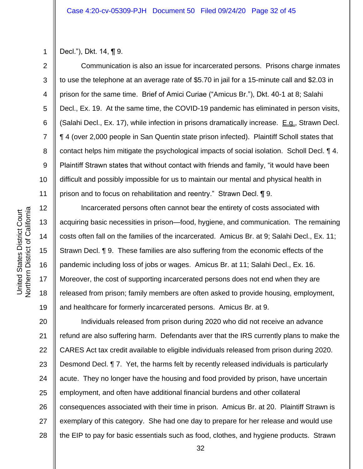3

4

5

6

7

8

9

10

11

12

13

14

15

16

17

18

19

Decl."), Dkt. 14, ¶ 9.

Communication is also an issue for incarcerated persons. Prisons charge inmates to use the telephone at an average rate of \$5.70 in jail for a 15-minute call and \$2.03 in prison for the same time. Brief of Amici Curiae ("Amicus Br."), Dkt. 40-1 at 8; Salahi Decl., Ex. 19. At the same time, the COVID-19 pandemic has eliminated in person visits, (Salahi Decl., Ex. 17), while infection in prisons dramatically increase. E.g., Strawn Decl. ¶ 4 (over 2,000 people in San Quentin state prison infected). Plaintiff Scholl states that contact helps him mitigate the psychological impacts of social isolation. Scholl Decl. ¶ 4. Plaintiff Strawn states that without contact with friends and family, "it would have been difficult and possibly impossible for us to maintain our mental and physical health in prison and to focus on rehabilitation and reentry." Strawn Decl. ¶ 9.

Incarcerated persons often cannot bear the entirety of costs associated with acquiring basic necessities in prison—food, hygiene, and communication. The remaining costs often fall on the families of the incarcerated. Amicus Br. at 9; Salahi Decl., Ex. 11; Strawn Decl. ¶ 9. These families are also suffering from the economic effects of the pandemic including loss of jobs or wages. Amicus Br. at 11; Salahi Decl., Ex. 16. Moreover, the cost of supporting incarcerated persons does not end when they are released from prison; family members are often asked to provide housing, employment, and healthcare for formerly incarcerated persons. Amicus Br. at 9.

20 21 22 23 24 25 26 27 28 Individuals released from prison during 2020 who did not receive an advance refund are also suffering harm. Defendants aver that the IRS currently plans to make the CARES Act tax credit available to eligible individuals released from prison during 2020. Desmond Decl. ¶ 7. Yet, the harms felt by recently released individuals is particularly acute. They no longer have the housing and food provided by prison, have uncertain employment, and often have additional financial burdens and other collateral consequences associated with their time in prison. Amicus Br. at 20. Plaintiff Strawn is exemplary of this category. She had one day to prepare for her release and would use the EIP to pay for basic essentials such as food, clothes, and hygiene products. Strawn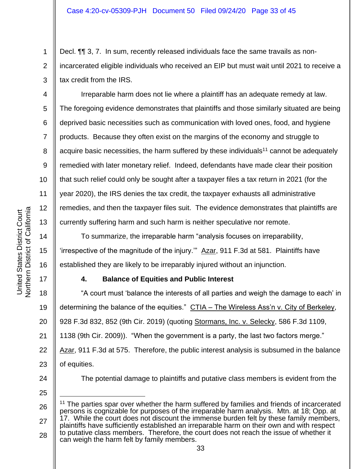Decl. ¶¶ 3, 7. In sum, recently released individuals face the same travails as nonincarcerated eligible individuals who received an EIP but must wait until 2021 to receive a tax credit from the IRS.

Irreparable harm does not lie where a plaintiff has an adequate remedy at law. The foregoing evidence demonstrates that plaintiffs and those similarly situated are being deprived basic necessities such as communication with loved ones, food, and hygiene products. Because they often exist on the margins of the economy and struggle to acquire basic necessities, the harm suffered by these individuals<sup>11</sup> cannot be adequately remedied with later monetary relief. Indeed, defendants have made clear their position that such relief could only be sought after a taxpayer files a tax return in 2021 (for the year 2020), the IRS denies the tax credit, the taxpayer exhausts all administrative remedies, and then the taxpayer files suit. The evidence demonstrates that plaintiffs are currently suffering harm and such harm is neither speculative nor remote.

To summarize, the irreparable harm "analysis focuses on irreparability, 'irrespective of the magnitude of the injury.'" Azar, 911 F.3d at 581. Plaintiffs have established they are likely to be irreparably injured without an injunction.

## **4. Balance of Equities and Public Interest**

18 19 20 21 22 23 "A court must 'balance the interests of all parties and weigh the damage to each' in determining the balance of the equities." CTIA – The Wireless Ass'n v. City of Berkeley, 928 F.3d 832, 852 (9th Cir. 2019) (quoting Stormans, Inc. v. Selecky, 586 F.3d 1109, 1138 (9th Cir. 2009)). "When the government is a party, the last two factors merge." Azar, 911 F.3d at 575. Therefore, the public interest analysis is subsumed in the balance of equities.

24

The potential damage to plaintiffs and putative class members is evident from the

25

28 can weigh the harm felt by family members.

1

2

3

4

5

6

7

8

9

10

11

12

13

14

15

16

<sup>26</sup> 27 <sup>11</sup> The parties spar over whether the harm suffered by families and friends of incarcerated persons is cognizable for purposes of the irreparable harm analysis. Mtn. at 18; Opp. at 17. While the court does not discount the immense burden felt by these family members, plaintiffs have sufficiently established an irreparable harm on their own and with respect to putative class members. Therefore, the court does not reach the issue of whether it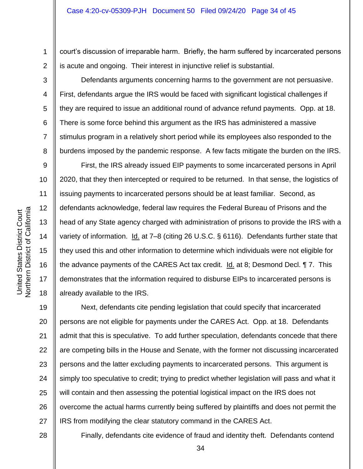court's discussion of irreparable harm. Briefly, the harm suffered by incarcerated persons is acute and ongoing. Their interest in injunctive relief is substantial.

Defendants arguments concerning harms to the government are not persuasive. First, defendants argue the IRS would be faced with significant logistical challenges if they are required to issue an additional round of advance refund payments. Opp. at 18. There is some force behind this argument as the IRS has administered a massive stimulus program in a relatively short period while its employees also responded to the burdens imposed by the pandemic response. A few facts mitigate the burden on the IRS.

First, the IRS already issued EIP payments to some incarcerated persons in April 2020, that they then intercepted or required to be returned. In that sense, the logistics of issuing payments to incarcerated persons should be at least familiar. Second, as defendants acknowledge, federal law requires the Federal Bureau of Prisons and the head of any State agency charged with administration of prisons to provide the IRS with a variety of information. Id. at 7–8 (citing 26 U.S.C. § 6116). Defendants further state that they used this and other information to determine which individuals were not eligible for the advance payments of the CARES Act tax credit. Id. at 8; Desmond Decl. ¶ 7. This demonstrates that the information required to disburse EIPs to incarcerated persons is already available to the IRS.

19 20 21 22 23 24 25 26 27 Next, defendants cite pending legislation that could specify that incarcerated persons are not eligible for payments under the CARES Act. Opp. at 18. Defendants admit that this is speculative. To add further speculation, defendants concede that there are competing bills in the House and Senate, with the former not discussing incarcerated persons and the latter excluding payments to incarcerated persons. This argument is simply too speculative to credit; trying to predict whether legislation will pass and what it will contain and then assessing the potential logistical impact on the IRS does not overcome the actual harms currently being suffered by plaintiffs and does not permit the IRS from modifying the clear statutory command in the CARES Act.

28

1

2

3

4

5

6

7

8

9

10

11

12

13

14

15

16

17

18

Finally, defendants cite evidence of fraud and identity theft. Defendants contend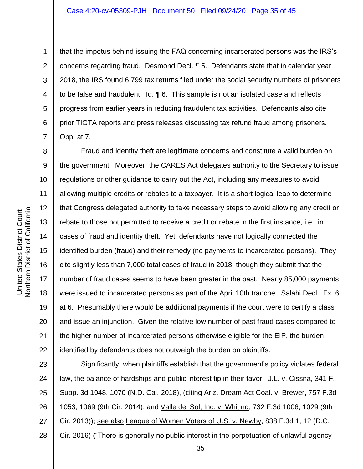1

that the impetus behind issuing the FAQ concerning incarcerated persons was the IRS's concerns regarding fraud. Desmond Decl. ¶ 5. Defendants state that in calendar year 2018, the IRS found 6,799 tax returns filed under the social security numbers of prisoners to be false and fraudulent.  $\underline{Id}$ .  $\P$  6. This sample is not an isolated case and reflects progress from earlier years in reducing fraudulent tax activities. Defendants also cite prior TIGTA reports and press releases discussing tax refund fraud among prisoners. Opp. at 7.

8 9 10 11 12 13 14 15 16 17 18 19 20 21 22 Fraud and identity theft are legitimate concerns and constitute a valid burden on the government. Moreover, the CARES Act delegates authority to the Secretary to issue regulations or other guidance to carry out the Act, including any measures to avoid allowing multiple credits or rebates to a taxpayer. It is a short logical leap to determine that Congress delegated authority to take necessary steps to avoid allowing any credit or rebate to those not permitted to receive a credit or rebate in the first instance, i.e., in cases of fraud and identity theft. Yet, defendants have not logically connected the identified burden (fraud) and their remedy (no payments to incarcerated persons). They cite slightly less than 7,000 total cases of fraud in 2018, though they submit that the number of fraud cases seems to have been greater in the past. Nearly 85,000 payments were issued to incarcerated persons as part of the April 10th tranche. Salahi Decl., Ex. 6 at 6. Presumably there would be additional payments if the court were to certify a class and issue an injunction. Given the relative low number of past fraud cases compared to the higher number of incarcerated persons otherwise eligible for the EIP, the burden identified by defendants does not outweigh the burden on plaintiffs.

23 24 25 26 27 28 Significantly, when plaintiffs establish that the government's policy violates federal law, the balance of hardships and public interest tip in their favor. J.L. v. Cissna, 341 F. Supp. 3d 1048, 1070 (N.D. Cal. 2018), (citing Ariz. Dream Act Coal. v. Brewer, 757 F.3d 1053, 1069 (9th Cir. 2014); and Valle del Sol, Inc. v. Whiting, 732 F.3d 1006, 1029 (9th Cir. 2013)); see also League of Women Voters of U.S. v. Newby, 838 F.3d 1, 12 (D.C. Cir. 2016) ("There is generally no public interest in the perpetuation of unlawful agency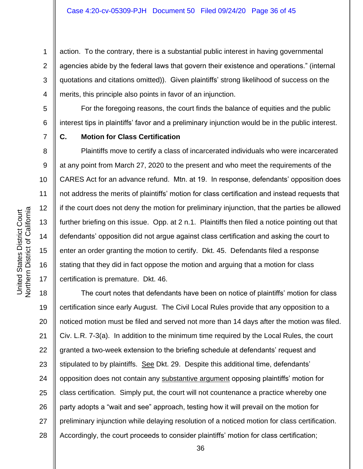action. To the contrary, there is a substantial public interest in having governmental agencies abide by the federal laws that govern their existence and operations." (internal quotations and citations omitted)). Given plaintiffs' strong likelihood of success on the merits, this principle also points in favor of an injunction.

6 For the foregoing reasons, the court finds the balance of equities and the public interest tips in plaintiffs' favor and a preliminary injunction would be in the public interest.

7

1

2

3

4

5

8

9

10

11

12

13

14

15

16

17

## **C. Motion for Class Certification**

Plaintiffs move to certify a class of incarcerated individuals who were incarcerated at any point from March 27, 2020 to the present and who meet the requirements of the CARES Act for an advance refund. Mtn. at 19. In response, defendants' opposition does not address the merits of plaintiffs' motion for class certification and instead requests that if the court does not deny the motion for preliminary injunction, that the parties be allowed further briefing on this issue. Opp. at 2 n.1. Plaintiffs then filed a notice pointing out that defendants' opposition did not argue against class certification and asking the court to enter an order granting the motion to certify. Dkt. 45. Defendants filed a response stating that they did in fact oppose the motion and arguing that a motion for class certification is premature. Dkt. 46.

18 19 20 21 22 23 24 25 26 27 28 The court notes that defendants have been on notice of plaintiffs' motion for class certification since early August. The Civil Local Rules provide that any opposition to a noticed motion must be filed and served not more than 14 days after the motion was filed. Civ. L.R. 7-3(a). In addition to the minimum time required by the Local Rules, the court granted a two-week extension to the briefing schedule at defendants' request and stipulated to by plaintiffs. See Dkt. 29. Despite this additional time, defendants' opposition does not contain any substantive argument opposing plaintiffs' motion for class certification. Simply put, the court will not countenance a practice whereby one party adopts a "wait and see" approach, testing how it will prevail on the motion for preliminary injunction while delaying resolution of a noticed motion for class certification. Accordingly, the court proceeds to consider plaintiffs' motion for class certification;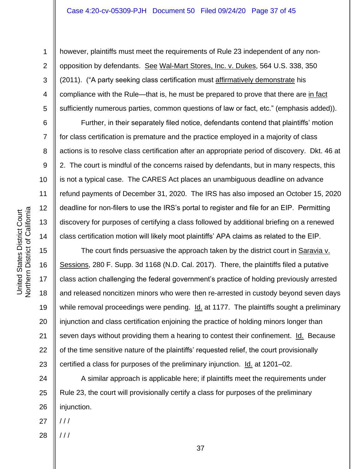10

11

12

13

14

15

16

17

18

19

20

21

22

23

1

however, plaintiffs must meet the requirements of Rule 23 independent of any nonopposition by defendants. See Wal-Mart Stores, Inc. v. Dukes, 564 U.S. 338, 350 (2011). ("A party seeking class certification must affirmatively demonstrate his compliance with the Rule—that is, he must be prepared to prove that there are in fact sufficiently numerous parties, common questions of law or fact, etc." (emphasis added)).

Further, in their separately filed notice, defendants contend that plaintiffs' motion for class certification is premature and the practice employed in a majority of class actions is to resolve class certification after an appropriate period of discovery. Dkt. 46 at 2. The court is mindful of the concerns raised by defendants, but in many respects, this is not a typical case. The CARES Act places an unambiguous deadline on advance refund payments of December 31, 2020. The IRS has also imposed an October 15, 2020 deadline for non-filers to use the IRS's portal to register and file for an EIP. Permitting discovery for purposes of certifying a class followed by additional briefing on a renewed class certification motion will likely moot plaintiffs' APA claims as related to the EIP.

The court finds persuasive the approach taken by the district court in Saravia v. Sessions, 280 F. Supp. 3d 1168 (N.D. Cal. 2017). There, the plaintiffs filed a putative class action challenging the federal government's practice of holding previously arrested and released noncitizen minors who were then re-arrested in custody beyond seven days while removal proceedings were pending. Id. at 1177. The plaintiffs sought a preliminary injunction and class certification enjoining the practice of holding minors longer than seven days without providing them a hearing to contest their confinement. Id. Because of the time sensitive nature of the plaintiffs' requested relief, the court provisionally certified a class for purposes of the preliminary injunction. Id. at 1201–02.

24 25 26 A similar approach is applicable here; if plaintiffs meet the requirements under Rule 23, the court will provisionally certify a class for purposes of the preliminary injunction.

27  $11<sup>1</sup>$ 

/ / /

28

**Northern District of California** Northern District of California United States District Court United States District Court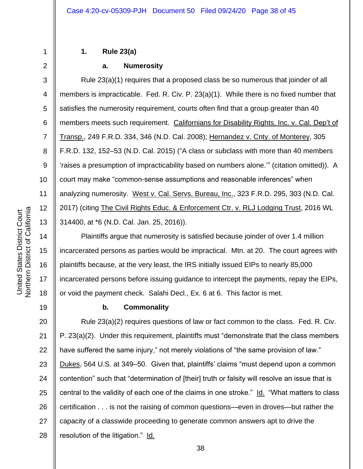3

4

5

6

7

8

9

10

11

12

13

14

15

16

17

18

19

1

## **1. Rule 23(a)**

## **a. Numerosity**

Rule 23(a)(1) requires that a proposed class be so numerous that joinder of all members is impracticable. Fed. R. Civ. P. 23(a)(1). While there is no fixed number that satisfies the numerosity requirement, courts often find that a group greater than 40 members meets such requirement. Californians for Disability Rights, Inc. v. Cal. Dep't of Transp., 249 F.R.D. 334, 346 (N.D. Cal. 2008); Hernandez v. Cnty. of Monterey, 305 F.R.D. 132, 152–53 (N.D. Cal. 2015) ("A class or subclass with more than 40 members 'raises a presumption of impracticability based on numbers alone.'" (citation omitted)). A court may make "common-sense assumptions and reasonable inferences" when analyzing numerosity. West v. Cal. Servs. Bureau, Inc., 323 F.R.D. 295, 303 (N.D. Cal. 2017) (citing The Civil Rights Educ. & Enforcement Ctr. v. RLJ Lodging Trust, 2016 WL 314400, at \*6 (N.D. Cal. Jan. 25, 2016)).

Plaintiffs argue that numerosity is satisfied because joinder of over 1.4 million incarcerated persons as parties would be impractical. Mtn. at 20. The court agrees with plaintiffs because, at the very least, the IRS initially issued EIPs to nearly 85,000 incarcerated persons before issuing guidance to intercept the payments, repay the EIPs, or void the payment check. Salahi Decl., Ex. 6 at 6. This factor is met.

## **b. Commonality**

20 21 22 23 24 25 26 27 28 Rule 23(a)(2) requires questions of law or fact common to the class. Fed. R. Civ. P. 23(a)(2). Under this requirement, plaintiffs must "demonstrate that the class members have suffered the same injury," not merely violations of "the same provision of law." Dukes, 564 U.S. at 349–50. Given that, plaintiffs' claims "must depend upon a common contention" such that "determination of [their] truth or falsity will resolve an issue that is central to the validity of each one of the claims in one stroke." Id. "What matters to class certification . . . is not the raising of common questions—even in droves—but rather the capacity of a classwide proceeding to generate common answers apt to drive the resolution of the litigation." Id.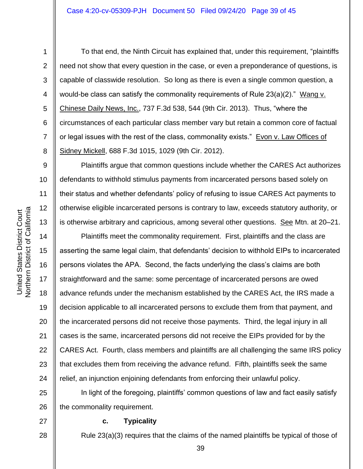8

9

10

11

12

13

14

15

16

17

18

19

20

21

22

23

24

1

To that end, the Ninth Circuit has explained that, under this requirement, "plaintiffs need not show that every question in the case, or even a preponderance of questions, is capable of classwide resolution. So long as there is even a single common question, a would-be class can satisfy the commonality requirements of Rule  $23(a)(2)$ ." Wang v. Chinese Daily News, Inc., 737 F.3d 538, 544 (9th Cir. 2013). Thus, "where the circumstances of each particular class member vary but retain a common core of factual or legal issues with the rest of the class, commonality exists." Evon v. Law Offices of Sidney Mickell, 688 F.3d 1015, 1029 (9th Cir. 2012).

Plaintiffs argue that common questions include whether the CARES Act authorizes defendants to withhold stimulus payments from incarcerated persons based solely on their status and whether defendants' policy of refusing to issue CARES Act payments to otherwise eligible incarcerated persons is contrary to law, exceeds statutory authority, or is otherwise arbitrary and capricious, among several other questions. See Mtn. at 20–21.

Plaintiffs meet the commonality requirement. First, plaintiffs and the class are asserting the same legal claim, that defendants' decision to withhold EIPs to incarcerated persons violates the APA. Second, the facts underlying the class's claims are both straightforward and the same: some percentage of incarcerated persons are owed advance refunds under the mechanism established by the CARES Act, the IRS made a decision applicable to all incarcerated persons to exclude them from that payment, and the incarcerated persons did not receive those payments. Third, the legal injury in all cases is the same, incarcerated persons did not receive the EIPs provided for by the CARES Act. Fourth, class members and plaintiffs are all challenging the same IRS policy that excludes them from receiving the advance refund. Fifth, plaintiffs seek the same relief, an injunction enjoining defendants from enforcing their unlawful policy.

25 26 In light of the foregoing, plaintiffs' common questions of law and fact easily satisfy the commonality requirement.

27

28

#### **c. Typicality**

Rule 23(a)(3) requires that the claims of the named plaintiffs be typical of those of

39

**Northern District of California** Northern District of California United States District Court United States District Court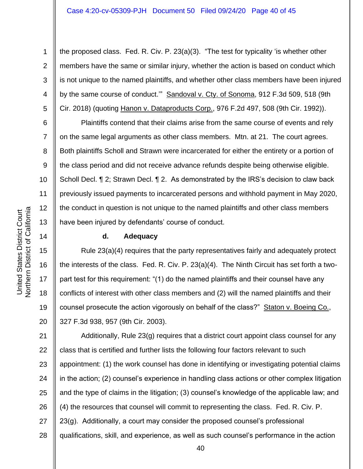the proposed class. Fed. R. Civ. P. 23(a)(3). "The test for typicality 'is whether other members have the same or similar injury, whether the action is based on conduct which is not unique to the named plaintiffs, and whether other class members have been injured by the same course of conduct.'" Sandoval v. Cty. of Sonoma, 912 F.3d 509, 518 (9th Cir. 2018) (quoting Hanon v. Dataproducts Corp., 976 F.2d 497, 508 (9th Cir. 1992)).

Plaintiffs contend that their claims arise from the same course of events and rely on the same legal arguments as other class members. Mtn. at 21. The court agrees. Both plaintiffs Scholl and Strawn were incarcerated for either the entirety or a portion of the class period and did not receive advance refunds despite being otherwise eligible. Scholl Decl. ¶ 2; Strawn Decl. ¶ 2. As demonstrated by the IRS's decision to claw back previously issued payments to incarcerated persons and withhold payment in May 2020, the conduct in question is not unique to the named plaintiffs and other class members have been injured by defendants' course of conduct.

## **d. Adequacy**

Rule 23(a)(4) requires that the party representatives fairly and adequately protect the interests of the class. Fed. R. Civ. P. 23(a)(4). The Ninth Circuit has set forth a twopart test for this requirement: "(1) do the named plaintiffs and their counsel have any conflicts of interest with other class members and (2) will the named plaintiffs and their counsel prosecute the action vigorously on behalf of the class?" Staton v. Boeing Co., 327 F.3d 938, 957 (9th Cir. 2003).

21 22 23 24 25 26 27 28 Additionally, Rule 23(g) requires that a district court appoint class counsel for any class that is certified and further lists the following four factors relevant to such appointment: (1) the work counsel has done in identifying or investigating potential claims in the action; (2) counsel's experience in handling class actions or other complex litigation and the type of claims in the litigation; (3) counsel's knowledge of the applicable law; and (4) the resources that counsel will commit to representing the class. Fed. R. Civ. P. 23(g). Additionally, a court may consider the proposed counsel's professional qualifications, skill, and experience, as well as such counsel's performance in the action

1

2

3

4

5

6

7

8

9

10

11

12

13

14

15

16

17

18

19

20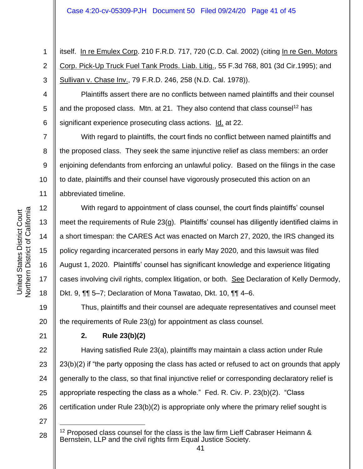1 2 3 itself. In re Emulex Corp. 210 F.R.D. 717, 720 (C.D. Cal. 2002) (citing In re Gen. Motors Corp. Pick-Up Truck Fuel Tank Prods. Liab. Litig., 55 F.3d 768, 801 (3d Cir.1995); and Sullivan v. Chase Inv., 79 F.R.D. 246, 258 (N.D. Cal. 1978)).

4 5 6 Plaintiffs assert there are no conflicts between named plaintiffs and their counsel and the proposed class. Mtn. at 21. They also contend that class counsel<sup>12</sup> has significant experience prosecuting class actions. Id. at 22.

With regard to plaintiffs, the court finds no conflict between named plaintiffs and the proposed class. They seek the same injunctive relief as class members: an order enjoining defendants from enforcing an unlawful policy. Based on the filings in the case to date, plaintiffs and their counsel have vigorously prosecuted this action on an abbreviated timeline.

With regard to appointment of class counsel, the court finds plaintiffs' counsel meet the requirements of Rule 23(g). Plaintiffs' counsel has diligently identified claims in a short timespan: the CARES Act was enacted on March 27, 2020, the IRS changed its policy regarding incarcerated persons in early May 2020, and this lawsuit was filed August 1, 2020. Plaintiffs' counsel has significant knowledge and experience litigating cases involving civil rights, complex litigation, or both. See Declaration of Kelly Dermody, Dkt. 9, ¶¶ 5–7; Declaration of Mona Tawatao, Dkt. 10, ¶¶ 4–6.

20 Thus, plaintiffs and their counsel are adequate representatives and counsel meet the requirements of Rule 23(g) for appointment as class counsel.

## **2. Rule 23(b)(2)**

Having satisfied Rule 23(a), plaintiffs may maintain a class action under Rule 23(b)(2) if "the party opposing the class has acted or refused to act on grounds that apply generally to the class, so that final injunctive relief or corresponding declaratory relief is appropriate respecting the class as a whole." Fed. R. Civ. P. 23(b)(2). "Class certification under Rule 23(b)(2) is appropriate only where the primary relief sought is

7

8

9

10

11

12

13

14

15

16

17

18

19

21

22

23

24

25

<sup>27</sup>

<sup>28</sup>  $12$  Proposed class counsel for the class is the law firm Lieff Cabraser Heimann  $\&$ Bernstein, LLP and the civil rights firm Equal Justice Society.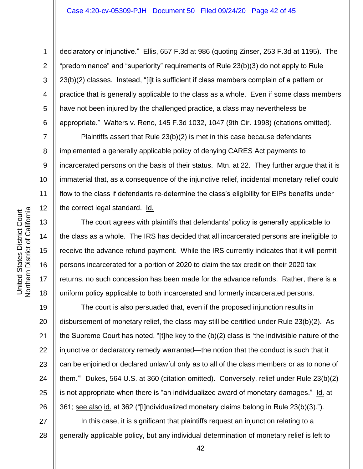#### Case 4:20-cv-05309-PJH Document 50 Filed 09/24/20 Page 42 of 45

1

2

3

4

5

6

7

8

9

10

11

12

13

14

15

16

17

18

declaratory or injunctive." Ellis, 657 F.3d at 986 (quoting Zinser, 253 F.3d at 1195). The "predominance" and "superiority" requirements of Rule 23(b)(3) do not apply to Rule 23(b)(2) classes. Instead, "[i]t is sufficient if class members complain of a pattern or practice that is generally applicable to the class as a whole. Even if some class members have not been injured by the challenged practice, a class may nevertheless be appropriate." Walters v. Reno, 145 F.3d 1032, 1047 (9th Cir. 1998) (citations omitted).

Plaintiffs assert that Rule 23(b)(2) is met in this case because defendants implemented a generally applicable policy of denying CARES Act payments to incarcerated persons on the basis of their status. Mtn. at 22. They further argue that it is immaterial that, as a consequence of the injunctive relief, incidental monetary relief could flow to the class if defendants re-determine the class's eligibility for EIPs benefits under the correct legal standard. Id.

The court agrees with plaintiffs that defendants' policy is generally applicable to the class as a whole. The IRS has decided that all incarcerated persons are ineligible to receive the advance refund payment. While the IRS currently indicates that it will permit persons incarcerated for a portion of 2020 to claim the tax credit on their 2020 tax returns, no such concession has been made for the advance refunds. Rather, there is a uniform policy applicable to both incarcerated and formerly incarcerated persons.

19 20 21 22 23 24 25 26 The court is also persuaded that, even if the proposed injunction results in disbursement of monetary relief, the class may still be certified under Rule 23(b)(2). As the Supreme Court has noted, "[t]he key to the (b)(2) class is 'the indivisible nature of the injunctive or declaratory remedy warranted—the notion that the conduct is such that it can be enjoined or declared unlawful only as to all of the class members or as to none of them.'" Dukes, 564 U.S. at 360 (citation omitted). Conversely, relief under Rule 23(b)(2) is not appropriate when there is "an individualized award of monetary damages." Id. at 361; see also id. at 362 ("[I]ndividualized monetary claims belong in Rule 23(b)(3).").

27 28 In this case, it is significant that plaintiffs request an injunction relating to a generally applicable policy, but any individual determination of monetary relief is left to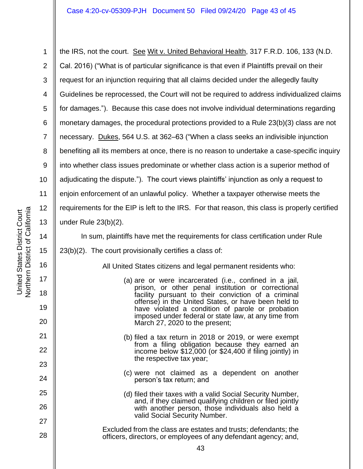1 2 3 4 5 6 7 8 9 10 11 12 13 the IRS, not the court. See Wit v. United Behavioral Health, 317 F.R.D. 106, 133 (N.D. Cal. 2016) ("What is of particular significance is that even if Plaintiffs prevail on their request for an injunction requiring that all claims decided under the allegedly faulty Guidelines be reprocessed, the Court will not be required to address individualized claims for damages."). Because this case does not involve individual determinations regarding monetary damages, the procedural protections provided to a Rule 23(b)(3) class are not necessary. Dukes, 564 U.S. at 362–63 ("When a class seeks an indivisible injunction benefiting all its members at once, there is no reason to undertake a case-specific inquiry into whether class issues predominate or whether class action is a superior method of adjudicating the dispute."). The court views plaintiffs' injunction as only a request to enjoin enforcement of an unlawful policy. Whether a taxpayer otherwise meets the requirements for the EIP is left to the IRS. For that reason, this class is properly certified under Rule 23(b)(2).

In sum, plaintiffs have met the requirements for class certification under Rule 23(b)(2). The court provisionally certifies a class of:

All United States citizens and legal permanent residents who:

- (a) are or were incarcerated (i.e., confined in a jail, prison, or other penal institution or correctional facility pursuant to their conviction of a criminal offense) in the United States, or have been held to have violated a condition of parole or probation imposed under federal or state law, at any time from March 27, 2020 to the present;
- (b) filed a tax return in 2018 or 2019, or were exempt from a filing obligation because they earned an income below \$12,000 (or \$24,400 if filing jointly) in the respective tax year;
- (c) were not claimed as a dependent on another person's tax return; and
- (d) filed their taxes with a valid Social Security Number, and, if they claimed qualifying children or filed jointly with another person, those individuals also held a valid Social Security Number.
- Excluded from the class are estates and trusts; defendants; the officers, directors, or employees of any defendant agency; and,

14

15

16

17

18

19

20

21

22

23

24

25

26

27

28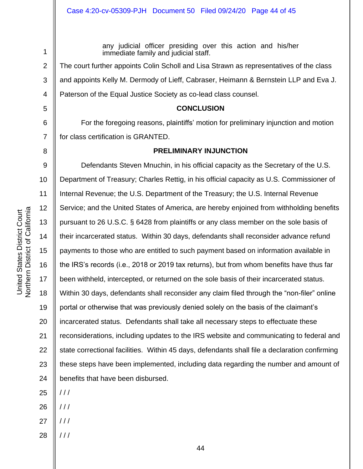8

1

any judicial officer presiding over this action and his/her immediate family and judicial staff.

The court further appoints Colin Scholl and Lisa Strawn as representatives of the class and appoints Kelly M. Dermody of Lieff, Cabraser, Heimann & Bernstein LLP and Eva J. Paterson of the Equal Justice Society as co-lead class counsel.

#### **CONCLUSION**

For the foregoing reasons, plaintiffs' motion for preliminary injunction and motion for class certification is GRANTED.

### **PRELIMINARY INJUNCTION**

9 10 11 12 13 14 15 16 17 18 19 20 21 22 23 24 Defendants Steven Mnuchin, in his official capacity as the Secretary of the U.S. Department of Treasury; Charles Rettig, in his official capacity as U.S. Commissioner of Internal Revenue; the U.S. Department of the Treasury; the U.S. Internal Revenue Service; and the United States of America, are hereby enjoined from withholding benefits pursuant to 26 U.S.C. § 6428 from plaintiffs or any class member on the sole basis of their incarcerated status. Within 30 days, defendants shall reconsider advance refund payments to those who are entitled to such payment based on information available in the IRS's records (i.e., 2018 or 2019 tax returns), but from whom benefits have thus far been withheld, intercepted, or returned on the sole basis of their incarcerated status. Within 30 days, defendants shall reconsider any claim filed through the "non-filer" online portal or otherwise that was previously denied solely on the basis of the claimant's incarcerated status. Defendants shall take all necessary steps to effectuate these reconsiderations, including updates to the IRS website and communicating to federal and state correctional facilities. Within 45 days, defendants shall file a declaration confirming these steps have been implemented, including data regarding the number and amount of benefits that have been disbursed.

25  $11<sup>1</sup>$ 

- 26 / / /
- 27  $/$  /  $/$
- 28 / / /

Northern District of California Northern District of California United States District Court United States District Court